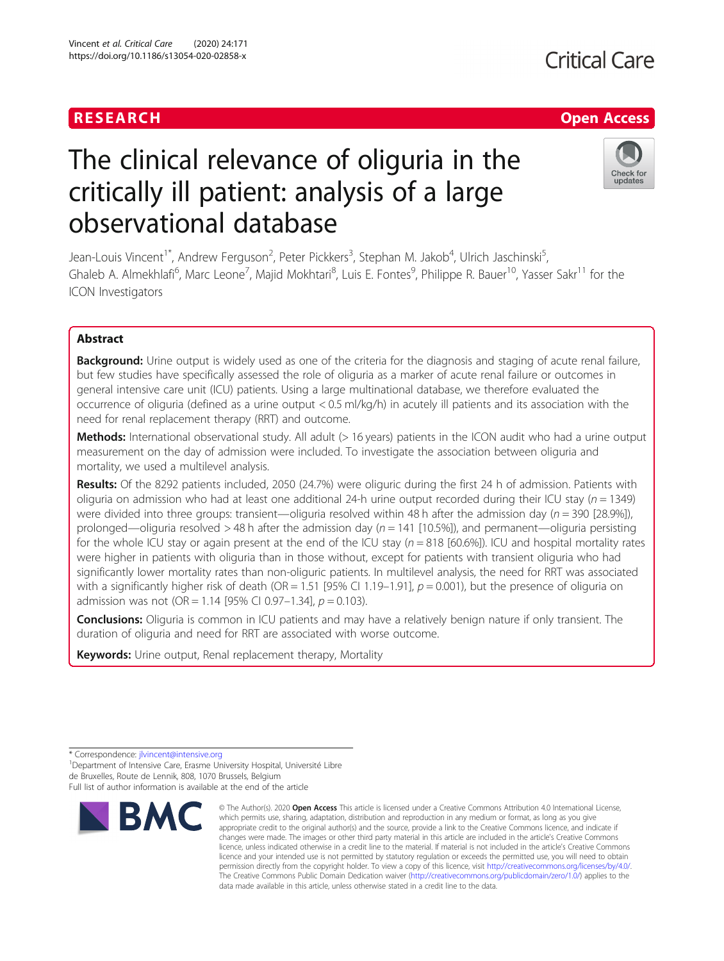Vincent et al. Critical Care (2020) 24:171 https://doi.org/10.1186/s13054-020-02858-x

# The clinical relevance of oliguria in the critically ill patient: analysis of a large observational database

Jean-Louis Vincent<sup>1\*</sup>, Andrew Ferguson<sup>2</sup>, Peter Pickkers<sup>3</sup>, Stephan M. Jakob<sup>4</sup>, Ulrich Jaschinski<sup>5</sup> , Ghaleb A. Almekhlafi<sup>6</sup>, Marc Leone<sup>7</sup>, Majid Mokhtari<sup>8</sup>, Luis E. Fontes<sup>9</sup>, Philippe R. Bauer<sup>10</sup>, Yasser Sakr<sup>11</sup> for the ICON Investigators

# Abstract

**Background:** Urine output is widely used as one of the criteria for the diagnosis and staging of acute renal failure, but few studies have specifically assessed the role of oliguria as a marker of acute renal failure or outcomes in general intensive care unit (ICU) patients. Using a large multinational database, we therefore evaluated the occurrence of oliguria (defined as a urine output < 0.5 ml/kg/h) in acutely ill patients and its association with the need for renal replacement therapy (RRT) and outcome.

Methods: International observational study. All adult (> 16 years) patients in the ICON audit who had a urine output measurement on the day of admission were included. To investigate the association between oliguria and mortality, we used a multilevel analysis.

Results: Of the 8292 patients included, 2050 (24.7%) were oliguric during the first 24 h of admission. Patients with oliguria on admission who had at least one additional 24-h urine output recorded during their ICU stay ( $n = 1349$ ) were divided into three groups: transient—oliguria resolved within 48 h after the admission day ( $n = 390$  [28.9%]), prolonged—oliguria resolved > 48 h after the admission day ( $n = 141$  [10.5%]), and permanent—oliguria persisting for the whole ICU stay or again present at the end of the ICU stay  $(n = 818 [60.6\%))$ . ICU and hospital mortality rates were higher in patients with oliguria than in those without, except for patients with transient oliguria who had significantly lower mortality rates than non-oliguric patients. In multilevel analysis, the need for RRT was associated with a significantly higher risk of death (OR = 1.51 [95% CI 1.19–1.91],  $p = 0.001$ ), but the presence of oliguria on admission was not (OR = 1.14 [95% CI 0.97-1.34],  $p = 0.103$ ).

**Conclusions:** Oliguria is common in ICU patients and may have a relatively benign nature if only transient. The duration of oliguria and need for RRT are associated with worse outcome.

Keywords: Urine output, Renal replacement therapy, Mortality

<sup>1</sup>Department of Intensive Care, Erasme University Hospital, Université Libre de Bruxelles, Route de Lennik, 808, 1070 Brussels, Belgium Full list of author information is available at the end of the article



<sup>©</sup> The Author(s), 2020 **Open Access** This article is licensed under a Creative Commons Attribution 4.0 International License, which permits use, sharing, adaptation, distribution and reproduction in any medium or format, as long as you give appropriate credit to the original author(s) and the source, provide a link to the Creative Commons licence, and indicate if changes were made. The images or other third party material in this article are included in the article's Creative Commons licence, unless indicated otherwise in a credit line to the material. If material is not included in the article's Creative Commons licence and your intended use is not permitted by statutory regulation or exceeds the permitted use, you will need to obtain permission directly from the copyright holder. To view a copy of this licence, visit [http://creativecommons.org/licenses/by/4.0/.](http://creativecommons.org/licenses/by/4.0/) The Creative Commons Public Domain Dedication waiver [\(http://creativecommons.org/publicdomain/zero/1.0/](http://creativecommons.org/publicdomain/zero/1.0/)) applies to the data made available in this article, unless otherwise stated in a credit line to the data.



<sup>\*</sup> Correspondence: [jlvincent@intensive.org](mailto:jlvincent@intensive.org) <sup>1</sup>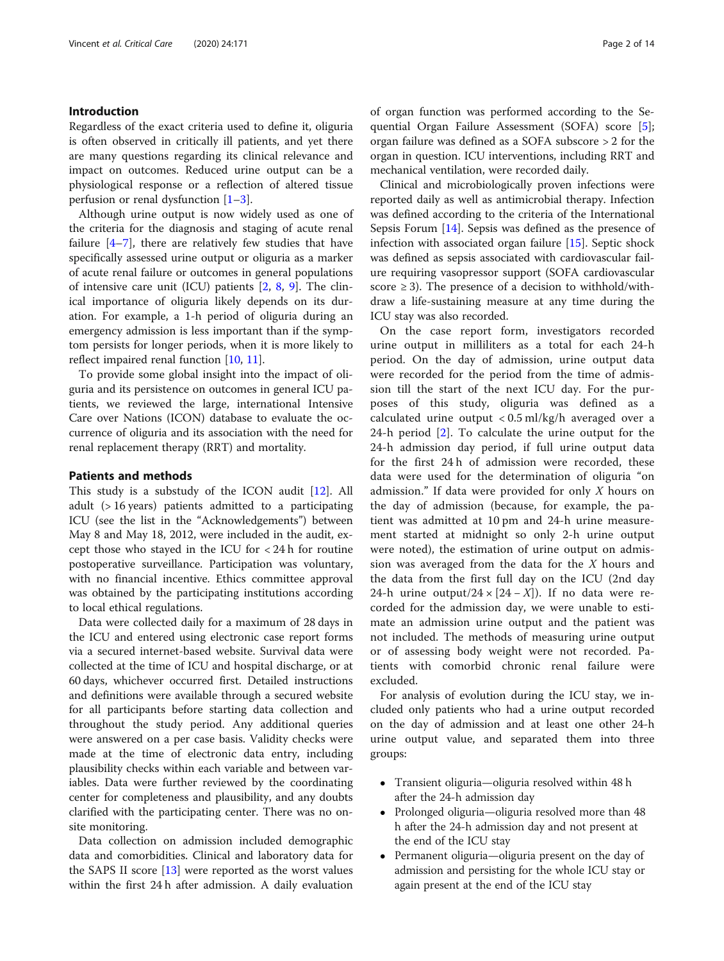# Introduction

Regardless of the exact criteria used to define it, oliguria is often observed in critically ill patients, and yet there are many questions regarding its clinical relevance and impact on outcomes. Reduced urine output can be a physiological response or a reflection of altered tissue perfusion or renal dysfunction  $[1-3]$  $[1-3]$  $[1-3]$  $[1-3]$ .

Although urine output is now widely used as one of the criteria for the diagnosis and staging of acute renal failure [\[4](#page-12-0)–[7\]](#page-13-0), there are relatively few studies that have specifically assessed urine output or oliguria as a marker of acute renal failure or outcomes in general populations of intensive care unit (ICU) patients  $[2, 8, 9]$  $[2, 8, 9]$  $[2, 8, 9]$  $[2, 8, 9]$  $[2, 8, 9]$  $[2, 8, 9]$ . The clinical importance of oliguria likely depends on its duration. For example, a 1-h period of oliguria during an emergency admission is less important than if the symptom persists for longer periods, when it is more likely to reflect impaired renal function [[10,](#page-13-0) [11\]](#page-13-0).

To provide some global insight into the impact of oliguria and its persistence on outcomes in general ICU patients, we reviewed the large, international Intensive Care over Nations (ICON) database to evaluate the occurrence of oliguria and its association with the need for renal replacement therapy (RRT) and mortality.

# Patients and methods

This study is a substudy of the ICON audit [\[12](#page-13-0)]. All adult (> 16 years) patients admitted to a participating ICU (see the list in the "Acknowledgements") between May 8 and May 18, 2012, were included in the audit, except those who stayed in the ICU for < 24 h for routine postoperative surveillance. Participation was voluntary, with no financial incentive. Ethics committee approval was obtained by the participating institutions according to local ethical regulations.

Data were collected daily for a maximum of 28 days in the ICU and entered using electronic case report forms via a secured internet-based website. Survival data were collected at the time of ICU and hospital discharge, or at 60 days, whichever occurred first. Detailed instructions and definitions were available through a secured website for all participants before starting data collection and throughout the study period. Any additional queries were answered on a per case basis. Validity checks were made at the time of electronic data entry, including plausibility checks within each variable and between variables. Data were further reviewed by the coordinating center for completeness and plausibility, and any doubts clarified with the participating center. There was no onsite monitoring.

Data collection on admission included demographic data and comorbidities. Clinical and laboratory data for the SAPS II score [[13\]](#page-13-0) were reported as the worst values within the first 24 h after admission. A daily evaluation of organ function was performed according to the Sequential Organ Failure Assessment (SOFA) score [\[5](#page-12-0)]; organ failure was defined as a SOFA subscore > 2 for the organ in question. ICU interventions, including RRT and mechanical ventilation, were recorded daily.

Clinical and microbiologically proven infections were reported daily as well as antimicrobial therapy. Infection was defined according to the criteria of the International Sepsis Forum [\[14](#page-13-0)]. Sepsis was defined as the presence of infection with associated organ failure [[15](#page-13-0)]. Septic shock was defined as sepsis associated with cardiovascular failure requiring vasopressor support (SOFA cardiovascular score  $\geq$  3). The presence of a decision to withhold/withdraw a life-sustaining measure at any time during the ICU stay was also recorded.

On the case report form, investigators recorded urine output in milliliters as a total for each 24-h period. On the day of admission, urine output data were recorded for the period from the time of admission till the start of the next ICU day. For the purposes of this study, oliguria was defined as a calculated urine output < 0.5 ml/kg/h averaged over a 24-h period [\[2](#page-12-0)]. To calculate the urine output for the 24-h admission day period, if full urine output data for the first 24 h of admission were recorded, these data were used for the determination of oliguria "on admission." If data were provided for only  $X$  hours on the day of admission (because, for example, the patient was admitted at 10 pm and 24-h urine measurement started at midnight so only 2-h urine output were noted), the estimation of urine output on admission was averaged from the data for the  $X$  hours and the data from the first full day on the ICU (2nd day 24-h urine output/24 ×  $[24 - X]$ ). If no data were recorded for the admission day, we were unable to estimate an admission urine output and the patient was not included. The methods of measuring urine output or of assessing body weight were not recorded. Patients with comorbid chronic renal failure were excluded.

For analysis of evolution during the ICU stay, we included only patients who had a urine output recorded on the day of admission and at least one other 24-h urine output value, and separated them into three groups:

- Transient oliguria—oliguria resolved within 48 h after the 24-h admission day
- Prolonged oliguria—oliguria resolved more than 48 h after the 24-h admission day and not present at the end of the ICU stay
- Permanent oliguria—oliguria present on the day of admission and persisting for the whole ICU stay or again present at the end of the ICU stay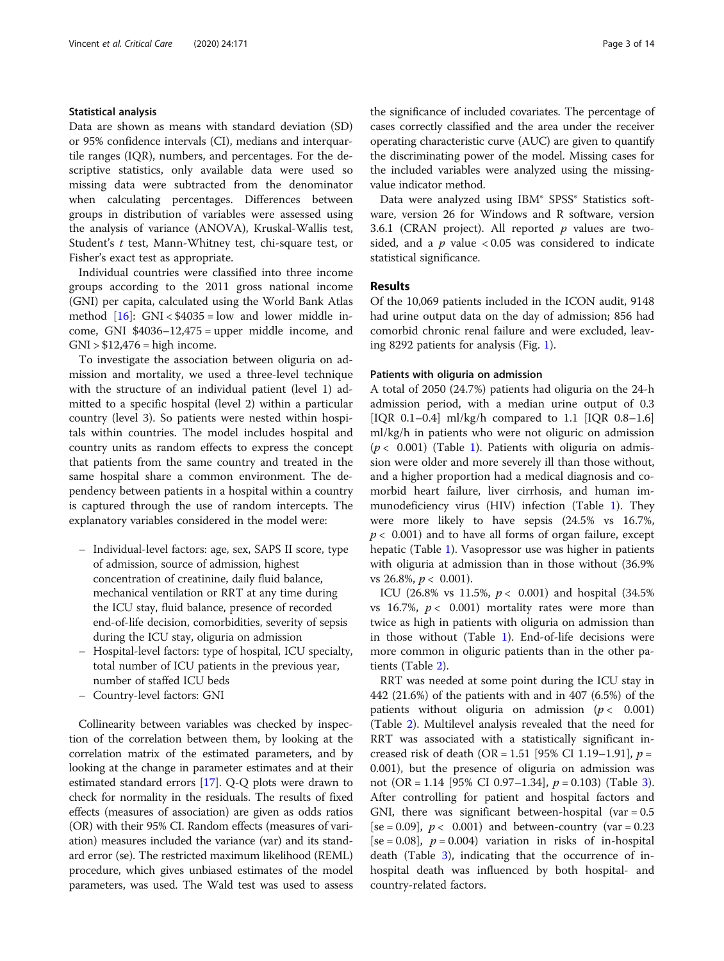#### Statistical analysis

Data are shown as means with standard deviation (SD) or 95% confidence intervals (CI), medians and interquartile ranges (IQR), numbers, and percentages. For the descriptive statistics, only available data were used so missing data were subtracted from the denominator when calculating percentages. Differences between groups in distribution of variables were assessed using the analysis of variance (ANOVA), Kruskal-Wallis test, Student's t test, Mann-Whitney test, chi-square test, or Fisher's exact test as appropriate.

Individual countries were classified into three income groups according to the 2011 gross national income (GNI) per capita, calculated using the World Bank Atlas method  $[16]$  $[16]$ : GNI < \$4035 = low and lower middle income, GNI \$4036–12,475 = upper middle income, and  $GNI > $12,476 = high income.$ 

To investigate the association between oliguria on admission and mortality, we used a three-level technique with the structure of an individual patient (level 1) admitted to a specific hospital (level 2) within a particular country (level 3). So patients were nested within hospitals within countries. The model includes hospital and country units as random effects to express the concept that patients from the same country and treated in the same hospital share a common environment. The dependency between patients in a hospital within a country is captured through the use of random intercepts. The explanatory variables considered in the model were:

- Individual-level factors: age, sex, SAPS II score, type of admission, source of admission, highest concentration of creatinine, daily fluid balance, mechanical ventilation or RRT at any time during the ICU stay, fluid balance, presence of recorded end-of-life decision, comorbidities, severity of sepsis during the ICU stay, oliguria on admission
- Hospital-level factors: type of hospital, ICU specialty, total number of ICU patients in the previous year, number of staffed ICU beds
- Country-level factors: GNI

Collinearity between variables was checked by inspection of the correlation between them, by looking at the correlation matrix of the estimated parameters, and by looking at the change in parameter estimates and at their estimated standard errors [\[17](#page-13-0)]. Q-Q plots were drawn to check for normality in the residuals. The results of fixed effects (measures of association) are given as odds ratios (OR) with their 95% CI. Random effects (measures of variation) measures included the variance (var) and its standard error (se). The restricted maximum likelihood (REML) procedure, which gives unbiased estimates of the model parameters, was used. The Wald test was used to assess

the significance of included covariates. The percentage of cases correctly classified and the area under the receiver operating characteristic curve (AUC) are given to quantify the discriminating power of the model. Missing cases for the included variables were analyzed using the missingvalue indicator method.

Data were analyzed using IBM® SPSS® Statistics software, version 26 for Windows and R software, version 3.6.1 (CRAN project). All reported  $p$  values are twosided, and a  $p$  value < 0.05 was considered to indicate statistical significance.

## Results

Of the 10,069 patients included in the ICON audit, 9148 had urine output data on the day of admission; 856 had comorbid chronic renal failure and were excluded, leaving 8292 patients for analysis (Fig. [1](#page-3-0)).

### Patients with oliguria on admission

A total of 2050 (24.7%) patients had oliguria on the 24-h admission period, with a median urine output of 0.3 [IQR 0.1–0.4] ml/kg/h compared to 1.1 [IQR 0.8–1.6] ml/kg/h in patients who were not oliguric on admission  $(p < 0.001)$  $(p < 0.001)$  (Table 1). Patients with oliguria on admission were older and more severely ill than those without, and a higher proportion had a medical diagnosis and comorbid heart failure, liver cirrhosis, and human immunodeficiency virus (HIV) infection (Table [1](#page-4-0)). They were more likely to have sepsis (24.5% vs 16.7%,  $p < 0.001$ ) and to have all forms of organ failure, except hepatic (Table [1](#page-4-0)). Vasopressor use was higher in patients with oliguria at admission than in those without (36.9% vs 26.8%,  $p < 0.001$ ).

ICU (26.8% vs 11.5%,  $p < 0.001$ ) and hospital (34.5%) vs 16.7%,  $p < 0.001$ ) mortality rates were more than twice as high in patients with oliguria on admission than in those without (Table [1\)](#page-4-0). End-of-life decisions were more common in oliguric patients than in the other patients (Table [2](#page-5-0)).

RRT was needed at some point during the ICU stay in 442 (21.6%) of the patients with and in 407 (6.5%) of the patients without oliguria on admission ( $p < 0.001$ ) (Table [2\)](#page-5-0). Multilevel analysis revealed that the need for RRT was associated with a statistically significant increased risk of death (OR = 1.51 [95% CI 1.19–1.91],  $p =$ 0.001), but the presence of oliguria on admission was not (OR = 1.14 [95% CI 0.97–1.[3](#page-6-0)4],  $p = 0.103$ ) (Table 3). After controlling for patient and hospital factors and GNI, there was significant between-hospital (var  $= 0.5$ ) [se = 0.09],  $p < 0.001$ ) and between-country (var = 0.23 [se = 0.08],  $p = 0.004$ ) variation in risks of in-hospital death (Table [3\)](#page-6-0), indicating that the occurrence of inhospital death was influenced by both hospital- and country-related factors.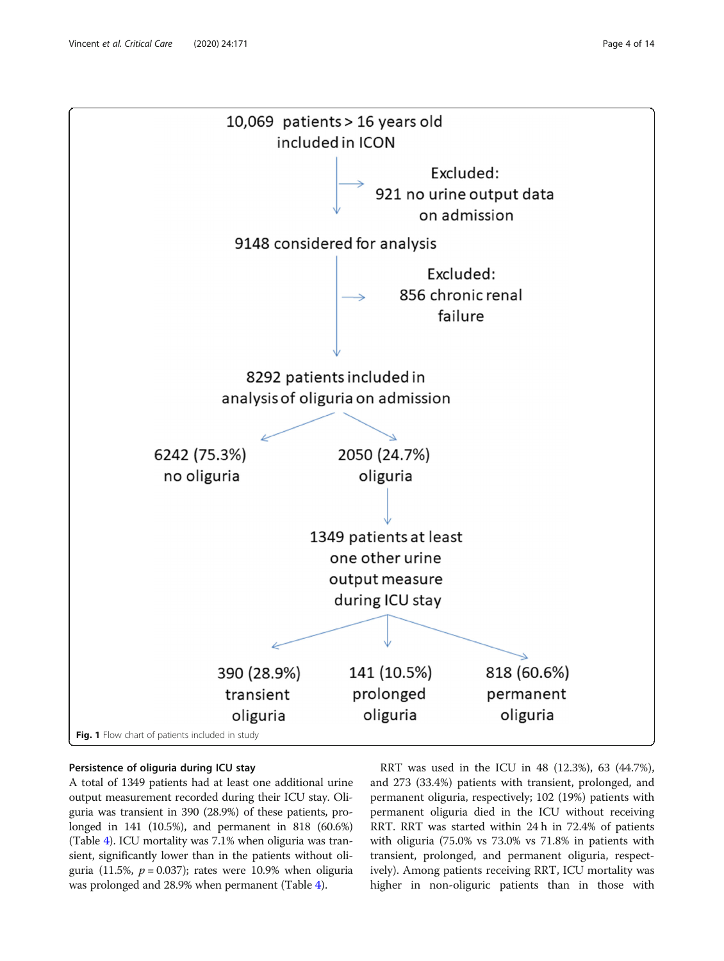<span id="page-3-0"></span>

# Persistence of oliguria during ICU stay

A total of 1349 patients had at least one additional urine output measurement recorded during their ICU stay. Oliguria was transient in 390 (28.9%) of these patients, prolonged in 141 (10.5%), and permanent in 818 (60.6%) (Table [4\)](#page-7-0). ICU mortality was 7.1% when oliguria was transient, significantly lower than in the patients without oliguria (11.5%,  $p = 0.037$ ); rates were 10.9% when oliguria was prolonged and 28.9% when permanent (Table [4](#page-7-0)).

RRT was used in the ICU in 48 (12.3%), 63 (44.7%), and 273 (33.4%) patients with transient, prolonged, and permanent oliguria, respectively; 102 (19%) patients with permanent oliguria died in the ICU without receiving RRT. RRT was started within 24 h in 72.4% of patients with oliguria (75.0% vs 73.0% vs 71.8% in patients with transient, prolonged, and permanent oliguria, respectively). Among patients receiving RRT, ICU mortality was higher in non-oliguric patients than in those with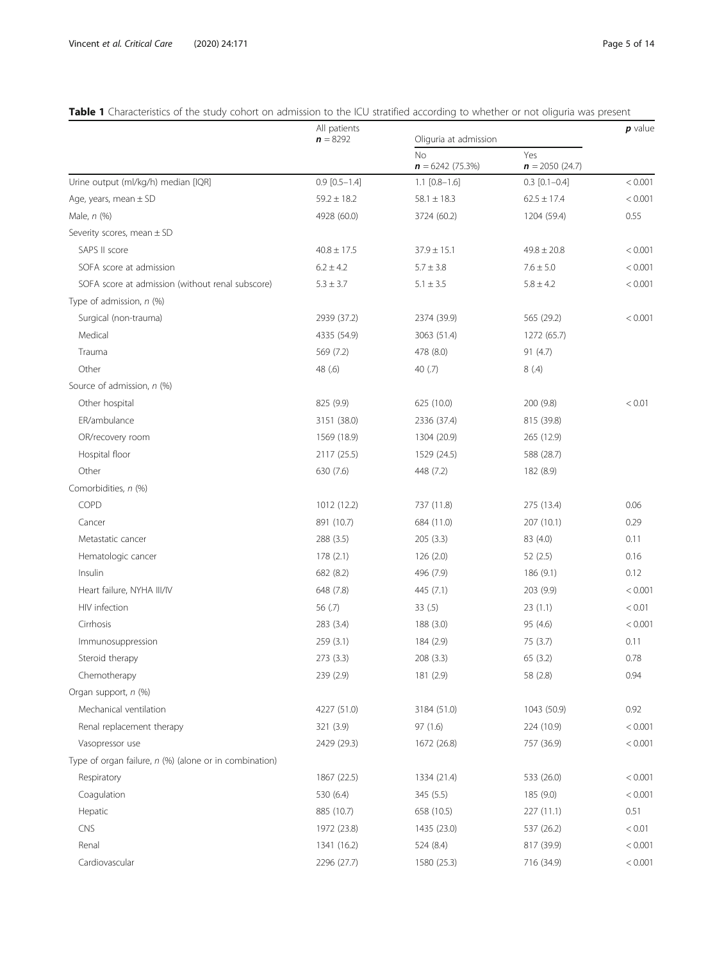# <span id="page-4-0"></span>Table 1 Characteristics of the study cohort on admission to the ICU stratified according to whether or not oliguria was present

|                                                        | All patients<br>$n = 8292$ | Oliguria at admission   |                         | $p$ value |
|--------------------------------------------------------|----------------------------|-------------------------|-------------------------|-----------|
|                                                        |                            | No<br>$n = 6242(75.3%)$ | Yes<br>$n = 2050(24.7)$ |           |
| Urine output (ml/kg/h) median [IQR]                    | $0.9$ [0.5-1.4]            | $1.1$ [0.8-1.6]         | $0.3$ [0.1-0.4]         | < 0.001   |
| Age, years, mean $\pm$ SD                              | $59.2 \pm 18.2$            | $58.1 \pm 18.3$         | $62.5 \pm 17.4$         | < 0.001   |
| Male, n (%)                                            | 4928 (60.0)                | 3724 (60.2)             | 1204 (59.4)             | 0.55      |
| Severity scores, mean $\pm$ SD                         |                            |                         |                         |           |
| SAPS II score                                          | $40.8 \pm 17.5$            | $37.9 \pm 15.1$         | $49.8 \pm 20.8$         | < 0.001   |
| SOFA score at admission                                | $6.2 \pm 4.2$              | $5.7 \pm 3.8$           | $7.6 \pm 5.0$           | < 0.001   |
| SOFA score at admission (without renal subscore)       | $5.3 \pm 3.7$              | $5.1 \pm 3.5$           | $5.8 \pm 4.2$           | < 0.001   |
| Type of admission, n (%)                               |                            |                         |                         |           |
| Surgical (non-trauma)                                  | 2939 (37.2)                | 2374 (39.9)             | 565 (29.2)              | < 0.001   |
| Medical                                                | 4335 (54.9)                | 3063 (51.4)             | 1272 (65.7)             |           |
| Trauma                                                 | 569 (7.2)                  | 478 (8.0)               | 91(4.7)                 |           |
| Other                                                  | 48 (.6)                    | 40 $(7)$                | 8(.4)                   |           |
| Source of admission, n (%)                             |                            |                         |                         |           |
| Other hospital                                         | 825 (9.9)                  | 625 (10.0)              | 200 (9.8)               | < 0.01    |
| ER/ambulance                                           | 3151 (38.0)                | 2336 (37.4)             | 815 (39.8)              |           |
| OR/recovery room                                       | 1569 (18.9)                | 1304 (20.9)             | 265 (12.9)              |           |
| Hospital floor                                         | 2117 (25.5)                | 1529 (24.5)             | 588 (28.7)              |           |
| Other                                                  | 630 (7.6)                  | 448 (7.2)               | 182 (8.9)               |           |
| Comorbidities, n (%)                                   |                            |                         |                         |           |
| COPD                                                   | 1012 (12.2)                | 737 (11.8)              | 275 (13.4)              | 0.06      |
| Cancer                                                 | 891 (10.7)                 | 684 (11.0)              | 207 (10.1)              | 0.29      |
| Metastatic cancer                                      | 288 (3.5)                  | 205(3.3)                | 83 (4.0)                | 0.11      |
| Hematologic cancer                                     | 178 (2.1)                  | 126 (2.0)               | 52(2.5)                 | 0.16      |
| Insulin                                                | 682 (8.2)                  | 496 (7.9)               | 186 (9.1)               | 0.12      |
| Heart failure, NYHA III/IV                             | 648 (7.8)                  | 445 (7.1)               | 203 (9.9)               | < 0.001   |
| HIV infection                                          | 56 (.7)                    | 33(.5)                  | 23(1.1)                 | < 0.01    |
| Cirrhosis                                              | 283 (3.4)                  | 188 (3.0)               | 95 (4.6)                | < 0.001   |
| Immunosuppression                                      | 259 (3.1)                  | 184 (2.9)               | 75 (3.7)                | 0.11      |
| Steroid therapy                                        | 273 (3.3)                  | 208 (3.3)               | 65 (3.2)                | 0.78      |
| Chemotherapy                                           | 239 (2.9)                  | 181 (2.9)               | 58 (2.8)                | 0.94      |
| Organ support, n (%)                                   |                            |                         |                         |           |
| Mechanical ventilation                                 | 4227 (51.0)                | 3184 (51.0)             | 1043 (50.9)             | 0.92      |
| Renal replacement therapy                              | 321 (3.9)                  | 97(1.6)                 | 224 (10.9)              | < 0.001   |
| Vasopressor use                                        | 2429 (29.3)                | 1672 (26.8)             | 757 (36.9)              | < 0.001   |
| Type of organ failure, n (%) (alone or in combination) |                            |                         |                         |           |
| Respiratory                                            | 1867 (22.5)                | 1334 (21.4)             | 533 (26.0)              | < 0.001   |
| Coagulation                                            | 530 (6.4)                  | 345 (5.5)               | 185 (9.0)               | < 0.001   |
| Hepatic                                                | 885 (10.7)                 | 658 (10.5)              | 227 (11.1)              | 0.51      |
| CNS                                                    | 1972 (23.8)                | 1435 (23.0)             | 537 (26.2)              | < 0.01    |
| Renal                                                  | 1341 (16.2)                | 524 (8.4)               | 817 (39.9)              | < 0.001   |
| Cardiovascular                                         | 2296 (27.7)                | 1580 (25.3)             | 716 (34.9)              | < 0.001   |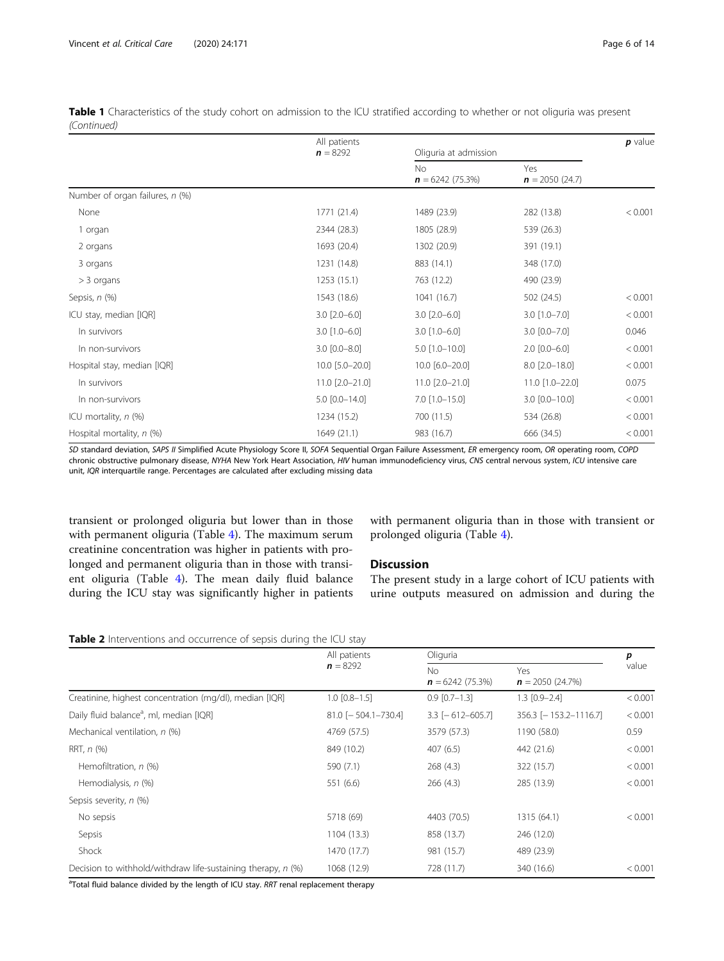<span id="page-5-0"></span>

|             | Table 1 Characteristics of the study cohort on admission to the ICU stratified according to whether or not oliguria was present |  |  |  |  |  |  |
|-------------|---------------------------------------------------------------------------------------------------------------------------------|--|--|--|--|--|--|
| (Continued) |                                                                                                                                 |  |  |  |  |  |  |

|                                 | All patients        |                                |                         | $p$ value |
|---------------------------------|---------------------|--------------------------------|-------------------------|-----------|
|                                 | $n = 8292$          | Oliguria at admission          |                         |           |
|                                 |                     | <b>No</b><br>$n = 6242(75.3%)$ | Yes<br>$n = 2050(24.7)$ |           |
| Number of organ failures, n (%) |                     |                                |                         |           |
| None                            | 1771 (21.4)         | 1489 (23.9)                    | 282 (13.8)              | < 0.001   |
| 1 organ                         | 2344 (28.3)         | 1805 (28.9)                    | 539 (26.3)              |           |
| 2 organs                        | 1693 (20.4)         | 1302 (20.9)                    | 391 (19.1)              |           |
| 3 organs                        | 1231 (14.8)         | 883 (14.1)                     | 348 (17.0)              |           |
| $>$ 3 organs                    | 1253 (15.1)         | 763 (12.2)                     | 490 (23.9)              |           |
| Sepsis, n (%)                   | 1543 (18.6)         | 1041 (16.7)                    | 502 (24.5)              | < 0.001   |
| ICU stay, median [IQR]          | $3.0$ $[2.0 - 6.0]$ | $3.0$ $[2.0 - 6.0]$            | $3.0$ [1.0-7.0]         | < 0.001   |
| In survivors                    | $3.0$ [1.0-6.0]     | $3.0$ [1.0-6.0]                | $3.0$ $[0.0 - 7.0]$     | 0.046     |
| In non-survivors                | $3.0 [0.0 - 8.0]$   | $5.0$ [1.0-10.0]               | $2.0$ [0.0-6.0]         | < 0.001   |
| Hospital stay, median [IQR]     | 10.0 [5.0-20.0]     | 10.0 [6.0-20.0]                | 8.0 [2.0-18.0]          | < 0.001   |
| In survivors                    | 11.0 [2.0-21.0]     | 11.0 [2.0-21.0]                | 11.0 [1.0-22.0]         | 0.075     |
| In non-survivors                | 5.0 [0.0-14.0]      | $7.0$ [1.0-15.0]               | 3.0 [0.0-10.0]          | < 0.001   |
| ICU mortality, $n$ (%)          | 1234 (15.2)         | 700 (11.5)                     | 534 (26.8)              | < 0.001   |
| Hospital mortality, n (%)       | 1649 (21.1)         | 983 (16.7)                     | 666 (34.5)              | < 0.001   |

SD standard deviation, SAPS II Simplified Acute Physiology Score II, SOFA Sequential Organ Failure Assessment, ER emergency room, OR operating room, COPD chronic obstructive pulmonary disease, NYHA New York Heart Association, HIV human immunodeficiency virus, CNS central nervous system, ICU intensive care unit, IQR interquartile range. Percentages are calculated after excluding missing data

transient or prolonged oliguria but lower than in those with permanent oliguria (Table [4\)](#page-7-0). The maximum serum creatinine concentration was higher in patients with prolonged and permanent oliguria than in those with transient oliguria (Table [4](#page-7-0)). The mean daily fluid balance during the ICU stay was significantly higher in patients with permanent oliguria than in those with transient or prolonged oliguria (Table [4\)](#page-7-0).

# **Discussion**

The present study in a large cohort of ICU patients with urine outputs measured on admission and during the

| Table 2 Interventions and occurrence of sepsis during the ICU stay |  |  |  |
|--------------------------------------------------------------------|--|--|--|
|--------------------------------------------------------------------|--|--|--|

|                                                              | All patients          | Oliguria                       |                                    |         |  |
|--------------------------------------------------------------|-----------------------|--------------------------------|------------------------------------|---------|--|
|                                                              | $n = 8292$            | <b>No</b><br>$n = 6242(75.3%)$ | Yes<br>$\mathbf{n} = 2050$ (24.7%) | value   |  |
| Creatinine, highest concentration (mg/dl), median [IQR]      | $1.0$ $[0.8 - 1.5]$   | $0.9$ $[0.7-1.3]$              | $1.3$ $[0.9 - 2.4]$                | < 0.001 |  |
| Daily fluid balance <sup>a</sup> , ml, median [IQR]          | $81.0$ [-504.1-730.4] | $3.3$ [-612-605.7]             | $356.3$ [-153.2-1116.7]            | < 0.001 |  |
| Mechanical ventilation, n (%)                                | 4769 (57.5)           | 3579 (57.3)                    | 1190 (58.0)                        | 0.59    |  |
| RRT, $n$ $(\%)$                                              | 849 (10.2)            | 407(6.5)                       | 442 (21.6)                         | < 0.001 |  |
| Hemofiltration, n (%)                                        | 590 (7.1)             | 268 (4.3)                      | 322 (15.7)                         | < 0.001 |  |
| Hemodialysis, n (%)                                          | 551 (6.6)             | 266(4.3)                       | 285 (13.9)                         | < 0.001 |  |
| Sepsis severity, n (%)                                       |                       |                                |                                    |         |  |
| No sepsis                                                    | 5718 (69)             | 4403 (70.5)                    | 1315 (64.1)                        | < 0.001 |  |
| Sepsis                                                       | 1104 (13.3)           | 858 (13.7)                     | 246 (12.0)                         |         |  |
| Shock                                                        | 1470 (17.7)           | 981 (15.7)                     | 489 (23.9)                         |         |  |
| Decision to withhold/withdraw life-sustaining therapy, n (%) | 1068 (12.9)           | 728 (11.7)                     | 340 (16.6)                         | < 0.001 |  |

<sup>a</sup>Total fluid balance divided by the length of ICU stay. RRT renal replacement therapy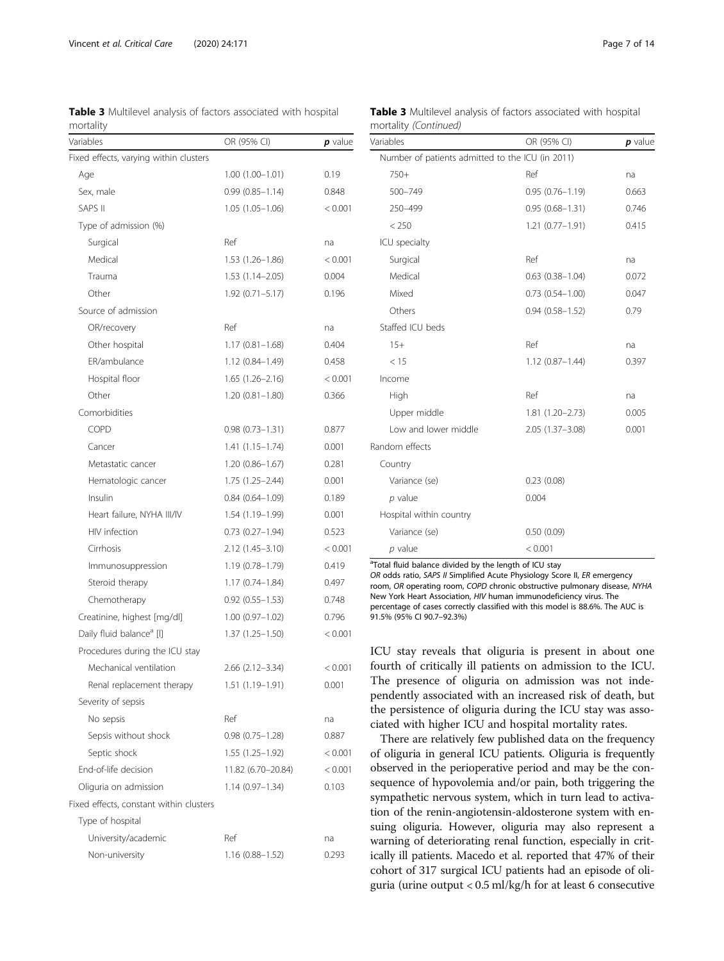<span id="page-6-0"></span>Table 3 Multilevel analysis of factors associated with hospital mortality

| <b>Table 3</b> Multilevel analysis of factors associated with hospital |  |  |
|------------------------------------------------------------------------|--|--|
| mortality (Continued)                                                  |  |  |

| Variables                               | OR (95% CI)            | $p$ value |
|-----------------------------------------|------------------------|-----------|
| Fixed effects, varying within clusters  |                        |           |
| Age                                     | $1.00(1.00 - 1.01)$    | 0.19      |
| Sex, male                               | $0.99(0.85 - 1.14)$    | 0.848     |
| <b>SAPS II</b>                          | $1.05(1.05-1.06)$      | < 0.001   |
| Type of admission (%)                   |                        |           |
| Surgical                                | Ref                    | na        |
| Medical                                 | $1.53(1.26 - 1.86)$    | < 0.001   |
| Trauma                                  | $1.53(1.14 - 2.05)$    | 0.004     |
| Other                                   | $1.92(0.71 - 5.17)$    | 0.196     |
| Source of admission                     |                        |           |
| OR/recovery                             | Ref                    | na        |
| Other hospital                          | $1.17(0.81 - 1.68)$    | 0.404     |
| ER/ambulance                            | $1.12(0.84 - 1.49)$    | 0.458     |
| Hospital floor                          | $1.65(1.26-2.16)$      | < 0.001   |
| Other                                   | $1.20(0.81 - 1.80)$    | 0.366     |
| Comorbidities                           |                        |           |
| <b>COPD</b>                             | $0.98(0.73 - 1.31)$    | 0.877     |
| Cancer                                  | $1.41(1.15 - 1.74)$    | 0.001     |
| Metastatic cancer                       | $1.20(0.86 - 1.67)$    | 0.281     |
| Hematologic cancer                      | 1.75 (1.25-2.44)       | 0.001     |
| Insulin                                 | $0.84(0.64 - 1.09)$    | 0.189     |
| Heart failure, NYHA III/IV              | 1.54 (1.19-1.99)       | 0.001     |
| HIV infection                           | $0.73(0.27-1.94)$      | 0.523     |
| Cirrhosis                               | 2.12 (1.45-3.10)       | < 0.001   |
| Immunosuppression                       | $1.19(0.78 - 1.79)$    | 0.419     |
| Steroid therapy                         | $1.17(0.74 - 1.84)$    | 0.497     |
| Chemotherapy                            | $0.92(0.55 - 1.53)$    | 0.748     |
| Creatinine, highest [mg/dl]             | $1.00(0.97-1.02)$      | 0.796     |
| Daily fluid balance <sup>a</sup> [I]    | $1.37(1.25 - 1.50)$    | < 0.001   |
| Procedures during the ICU stay          |                        |           |
| Mechanical ventilation                  | $2.66$ $(2.12 - 3.34)$ | < 0.001   |
| Renal replacement therapy               | 1.51 (1.19–1.91)       | 0.001     |
| Severity of sepsis                      |                        |           |
| No sepsis                               | Ref                    | na        |
| Sepsis without shock                    | $0.98(0.75 - 1.28)$    | 0.887     |
| Septic shock                            | $1.55(1.25-1.92)$      | < 0.001   |
| End-of-life decision                    | 11.82 (6.70–20.84)     | < 0.001   |
| Oliguria on admission                   | 1.14 (0.97–1.34)       | 0.103     |
| Fixed effects, constant within clusters |                        |           |
| Type of hospital                        |                        |           |
| University/academic                     | Ref                    | na        |
| Non-university                          | 1.16 (0.88-1.52)       | 0.293     |
|                                         |                        |           |

| Variables                                        | OR (95% CI)            | $p$ value |
|--------------------------------------------------|------------------------|-----------|
| Number of patients admitted to the ICU (in 2011) |                        |           |
| $750+$                                           | Ref                    | na        |
| 500-749                                          | $0.95(0.76 - 1.19)$    | 0.663     |
| 250-499                                          | $0.95(0.68 - 1.31)$    | 0.746     |
| < 250                                            | $1.21(0.77 - 1.91)$    | 0.415     |
| ICU specialty                                    |                        |           |
| Surgical                                         | Ref                    | na        |
| Medical                                          | $0.63$ $(0.38 - 1.04)$ | 0.072     |
| Mixed                                            | $0.73(0.54 - 1.00)$    | 0.047     |
| Others                                           | $0.94(0.58 - 1.52)$    | 0.79      |
| Staffed ICU beds                                 |                        |           |
| $15+$                                            | Ref                    | na        |
| < 15                                             | $1.12(0.87 - 1.44)$    | 0.397     |
| Income                                           |                        |           |
| High                                             | Ref                    | na        |
| Upper middle                                     | $1.81(1.20 - 2.73)$    | 0.005     |
| Low and lower middle                             | $2.05(1.37 - 3.08)$    | 0.001     |
| Random effects                                   |                        |           |
| Country                                          |                        |           |
| Variance (se)                                    | 0.23(0.08)             |           |
| $p$ value                                        | 0.004                  |           |
| Hospital within country                          |                        |           |
| Variance (se)                                    | 0.50(0.09)             |           |
| $p$ value                                        | < 0.001                |           |

<sup>a</sup>Total fluid balance divided by the length of ICU stay

OR odds ratio, SAPS // Simplified Acute Physiology Score II, ER emergency room, OR operating room, COPD chronic obstructive pulmonary disease, NYHA New York Heart Association, HIV human immunodeficiency virus. The percentage of cases correctly classified with this model is 88.6%. The AUC is 91.5% (95% CI 90.7–92.3%)

ICU stay reveals that oliguria is present in about one fourth of critically ill patients on admission to the ICU. The presence of oliguria on admission was not independently associated with an increased risk of death, but the persistence of oliguria during the ICU stay was associated with higher ICU and hospital mortality rates.

There are relatively few published data on the frequency of oliguria in general ICU patients. Oliguria is frequently observed in the perioperative period and may be the consequence of hypovolemia and/or pain, both triggering the sympathetic nervous system, which in turn lead to activation of the renin-angiotensin-aldosterone system with ensuing oliguria. However, oliguria may also represent a warning of deteriorating renal function, especially in critically ill patients. Macedo et al. reported that 47% of their cohort of 317 surgical ICU patients had an episode of oliguria (urine output < 0.5 ml/kg/h for at least 6 consecutive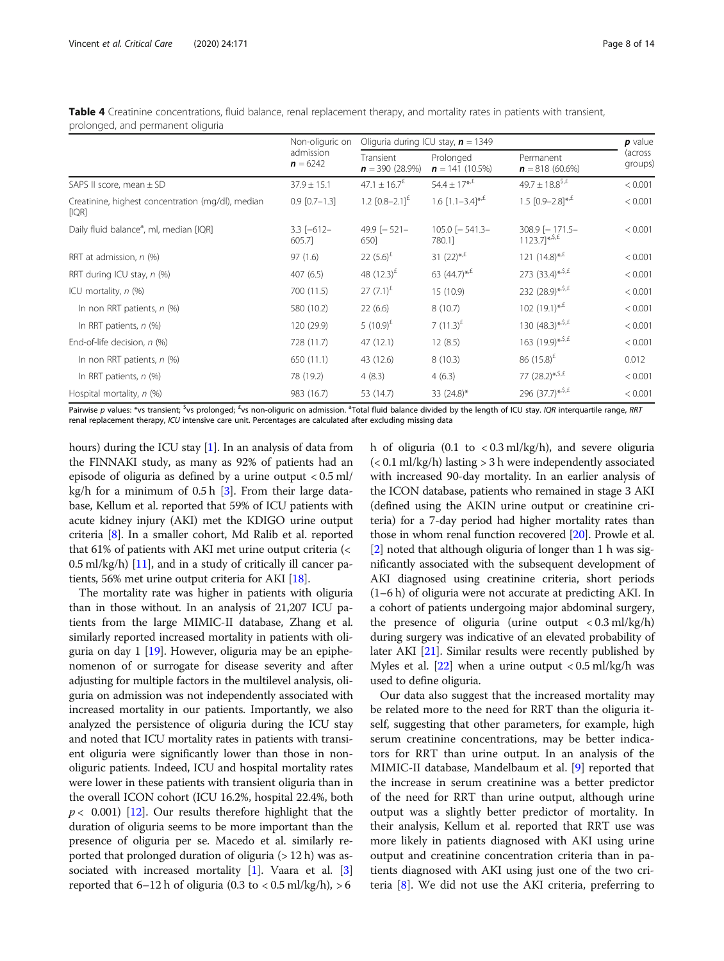<span id="page-7-0"></span>Table 4 Creatinine concentrations, fluid balance, renal replacement therapy, and mortality rates in patients with transient, prolonged, and permanent oliguria

|                                                            | Non-oliguric on<br>admission<br>$n = 6242$ | Oliguria during ICU stay, $n = 1349$ | $p$ value                     |                                               |                    |
|------------------------------------------------------------|--------------------------------------------|--------------------------------------|-------------------------------|-----------------------------------------------|--------------------|
|                                                            |                                            | Transient<br>$n = 390(28.9\%)$       | Prolonged<br>$n = 141(10.5%)$ | Permanent<br>$n = 818(60.6\%)$                | (across<br>groups) |
| SAPS II score, mean $\pm$ SD                               | $37.9 \pm 15.1$                            | $47.1 \pm 16.7^{\text{f}}$           | $54.4 \pm 17^{*,E}$           | 49.7 ± 18.8 <sup>\$,£</sup>                   | < 0.001            |
| Creatinine, highest concentration (mg/dl), median<br>[IQR] | $0.9$ $[0.7-1.3]$                          | 1.2 $[0.8-2.1]^{E}$                  | 1.6 $[1.1-3.4]^{*,E}$         | 1.5 $[0.9-2.8]^{*,E}$                         | < 0.001            |
| Daily fluid balance <sup>a</sup> , ml, median [IQR]        | $3.3$ $[-612-$<br>605.7                    | 49.9 $[-521 -$<br>650]               | $105.0$ $[-541.3 -$<br>780.1] | $308.9$ [-171.5-<br>$1123.7$ <sup>*,5,£</sup> | < 0.001            |
| RRT at admission, n (%)                                    | 97(1.6)                                    | 22 $(5.6)^{E}$                       | 31 $(22)^{*,f}$               | 121 $(14.8)$ <sup>*,<i>f</i></sup>            | < 0.001            |
| RRT during ICU stay, n (%)                                 | 407(6.5)                                   | 48 $(12.3)^{E}$                      | 63 $(44.7)_{*}^{*,\text{f}}$  | 273 $(33.4)$ <sup>*, \$, £</sup>              | < 0.001            |
| ICU mortality, $n$ (%)                                     | 700 (11.5)                                 | 27 $(7.1)^{E}$                       | 15(10.9)                      | 232 (28.9)*, \$, £                            | < 0.001            |
| In non RRT patients, $n$ (%)                               | 580 (10.2)                                 | 22(6.6)                              | 8(10.7)                       | 102 $(19.1)^{*,£}$                            | < 0.001            |
| In RRT patients, $n$ (%)                                   | 120 (29.9)                                 | 5 $(10.9)^{\text{f}}$                | 7 $(11.3)^{2}$                | 130 $(48.3)^{*,5,5}$                          | < 0.001            |
| End-of-life decision, n (%)                                | 728 (11.7)                                 | 47(12.1)                             | 12(8.5)                       | 163 (19.9)*, $5, £$                           | < 0.001            |
| In non RRT patients, $n$ (%)                               | 650 (11.1)                                 | 43 (12.6)                            | 8(10.3)                       | 86 $(15.8)^{2}$                               | 0.012              |
| In RRT patients, $n$ (%)                                   | 78 (19.2)                                  | 4(8.3)                               | 4(6.3)                        | 77 (28.2)*, \$, £                             | < 0.001            |
| Hospital mortality, $n$ (%)                                | 983 (16.7)                                 | 53 (14.7)                            | 33 $(24.8)^*$                 | 296 $(37.7)^{*, 5, \text{f}}$                 | < 0.001            |

Pairwise p values: \*vs transient; <sup>\$</sup>vs prolonged; <sup>£</sup>vs non-oliguric on admission. <sup>a</sup>Total fluid balance divided by the length of ICU stay. IQR interquartile range, RRT renal replacement therapy, ICU intensive care unit. Percentages are calculated after excluding missing data

hours) during the ICU stay  $[1]$  $[1]$ . In an analysis of data from the FINNAKI study, as many as 92% of patients had an episode of oliguria as defined by a urine output < 0.5 ml/ kg/h for a minimum of  $0.5 h$  [\[3](#page-12-0)]. From their large database, Kellum et al. reported that 59% of ICU patients with acute kidney injury (AKI) met the KDIGO urine output criteria [[8](#page-13-0)]. In a smaller cohort, Md Ralib et al. reported that 61% of patients with AKI met urine output criteria (<  $0.5$  ml/kg/h) [[11](#page-13-0)], and in a study of critically ill cancer patients, 56% met urine output criteria for AKI [\[18](#page-13-0)].

The mortality rate was higher in patients with oliguria than in those without. In an analysis of 21,207 ICU patients from the large MIMIC-II database, Zhang et al. similarly reported increased mortality in patients with oliguria on day 1 [\[19\]](#page-13-0). However, oliguria may be an epiphenomenon of or surrogate for disease severity and after adjusting for multiple factors in the multilevel analysis, oliguria on admission was not independently associated with increased mortality in our patients. Importantly, we also analyzed the persistence of oliguria during the ICU stay and noted that ICU mortality rates in patients with transient oliguria were significantly lower than those in nonoliguric patients. Indeed, ICU and hospital mortality rates were lower in these patients with transient oliguria than in the overall ICON cohort (ICU 16.2%, hospital 22.4%, both  $p < 0.001$ ) [\[12\]](#page-13-0). Our results therefore highlight that the duration of oliguria seems to be more important than the presence of oliguria per se. Macedo et al. similarly reported that prolonged duration of oliguria  $(>12 h)$  was associated with increased mortality  $[1]$  $[1]$ . Vaara et al.  $[3]$  $[3]$  $[3]$ reported that  $6-12$  h of oliguria (0.3 to  $< 0.5$  ml/kg/h),  $> 6$ 

h of oliguria  $(0.1 \text{ to } < 0.3 \text{ ml/kg/h})$ , and severe oliguria (< 0.1 ml/kg/h) lasting > 3 h were independently associated with increased 90-day mortality. In an earlier analysis of the ICON database, patients who remained in stage 3 AKI (defined using the AKIN urine output or creatinine criteria) for a 7-day period had higher mortality rates than those in whom renal function recovered [\[20](#page-13-0)]. Prowle et al. [[2\]](#page-12-0) noted that although oliguria of longer than 1 h was significantly associated with the subsequent development of AKI diagnosed using creatinine criteria, short periods (1–6 h) of oliguria were not accurate at predicting AKI. In a cohort of patients undergoing major abdominal surgery, the presence of oliguria (urine output  $< 0.3$  ml/kg/h) during surgery was indicative of an elevated probability of later AKI [\[21\]](#page-13-0). Similar results were recently published by Myles et al.  $[22]$  when a urine output < 0.5 ml/kg/h was used to define oliguria.

Our data also suggest that the increased mortality may be related more to the need for RRT than the oliguria itself, suggesting that other parameters, for example, high serum creatinine concentrations, may be better indicators for RRT than urine output. In an analysis of the MIMIC-II database, Mandelbaum et al. [\[9](#page-13-0)] reported that the increase in serum creatinine was a better predictor of the need for RRT than urine output, although urine output was a slightly better predictor of mortality. In their analysis, Kellum et al. reported that RRT use was more likely in patients diagnosed with AKI using urine output and creatinine concentration criteria than in patients diagnosed with AKI using just one of the two criteria [[8\]](#page-13-0). We did not use the AKI criteria, preferring to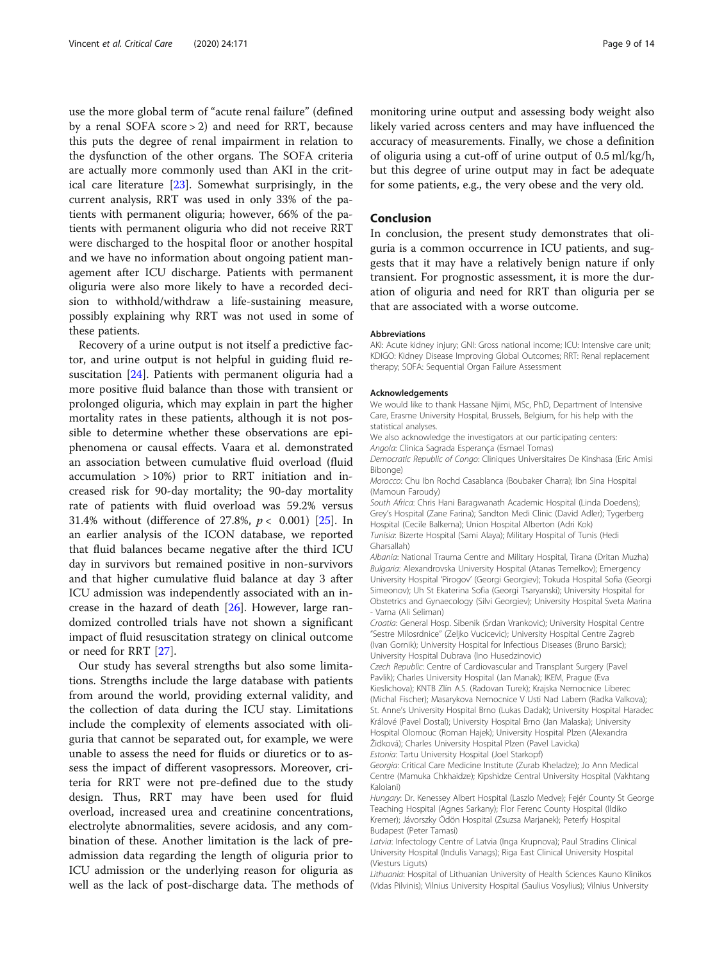use the more global term of "acute renal failure" (defined by a renal SOFA score > 2) and need for RRT, because this puts the degree of renal impairment in relation to the dysfunction of the other organs. The SOFA criteria are actually more commonly used than AKI in the critical care literature [[23\]](#page-13-0). Somewhat surprisingly, in the current analysis, RRT was used in only 33% of the patients with permanent oliguria; however, 66% of the patients with permanent oliguria who did not receive RRT were discharged to the hospital floor or another hospital and we have no information about ongoing patient management after ICU discharge. Patients with permanent oliguria were also more likely to have a recorded decision to withhold/withdraw a life-sustaining measure, possibly explaining why RRT was not used in some of these patients.

Recovery of a urine output is not itself a predictive factor, and urine output is not helpful in guiding fluid resuscitation [\[24](#page-13-0)]. Patients with permanent oliguria had a more positive fluid balance than those with transient or prolonged oliguria, which may explain in part the higher mortality rates in these patients, although it is not possible to determine whether these observations are epiphenomena or causal effects. Vaara et al. demonstrated an association between cumulative fluid overload (fluid accumulation > 10%) prior to RRT initiation and increased risk for 90-day mortality; the 90-day mortality rate of patients with fluid overload was 59.2% versus 31.4% without (difference of 27.8%,  $p < 0.001$ ) [\[25](#page-13-0)]. In an earlier analysis of the ICON database, we reported that fluid balances became negative after the third ICU day in survivors but remained positive in non-survivors and that higher cumulative fluid balance at day 3 after ICU admission was independently associated with an increase in the hazard of death [[26\]](#page-13-0). However, large randomized controlled trials have not shown a significant impact of fluid resuscitation strategy on clinical outcome or need for RRT [\[27\]](#page-13-0).

Our study has several strengths but also some limitations. Strengths include the large database with patients from around the world, providing external validity, and the collection of data during the ICU stay. Limitations include the complexity of elements associated with oliguria that cannot be separated out, for example, we were unable to assess the need for fluids or diuretics or to assess the impact of different vasopressors. Moreover, criteria for RRT were not pre-defined due to the study design. Thus, RRT may have been used for fluid overload, increased urea and creatinine concentrations, electrolyte abnormalities, severe acidosis, and any combination of these. Another limitation is the lack of preadmission data regarding the length of oliguria prior to ICU admission or the underlying reason for oliguria as well as the lack of post-discharge data. The methods of

monitoring urine output and assessing body weight also likely varied across centers and may have influenced the accuracy of measurements. Finally, we chose a definition of oliguria using a cut-off of urine output of 0.5 ml/kg/h, but this degree of urine output may in fact be adequate for some patients, e.g., the very obese and the very old.

# Conclusion

In conclusion, the present study demonstrates that oliguria is a common occurrence in ICU patients, and suggests that it may have a relatively benign nature if only transient. For prognostic assessment, it is more the duration of oliguria and need for RRT than oliguria per se that are associated with a worse outcome.

#### Abbreviations

AKI: Acute kidney injury; GNI: Gross national income; ICU: Intensive care unit; KDIGO: Kidney Disease Improving Global Outcomes; RRT: Renal replacement therapy; SOFA: Sequential Organ Failure Assessment

# Acknowledgements

We would like to thank Hassane Njimi, MSc, PhD, Department of Intensive Care, Erasme University Hospital, Brussels, Belgium, for his help with the statistical analyses.

We also acknowledge the investigators at our participating centers: Angola: Clinica Sagrada Esperança (Esmael Tomas)

Democratic Republic of Congo: Cliniques Universitaires De Kinshasa (Eric Amisi Bibonge)

Morocco: Chu Ibn Rochd Casablanca (Boubaker Charra); Ibn Sina Hospital (Mamoun Faroudy)

South Africa: Chris Hani Baragwanath Academic Hospital (Linda Doedens); Grey's Hospital (Zane Farina); Sandton Medi Clinic (David Adler); Tygerberg Hospital (Cecile Balkema); Union Hospital Alberton (Adri Kok)

Tunisia: Bizerte Hospital (Sami Alaya); Military Hospital of Tunis (Hedi Gharsallah)

Albania: National Trauma Centre and Military Hospital, Tirana (Dritan Muzha) Bulgaria: Alexandrovska University Hospital (Atanas Temelkov); Emergency University Hospital 'Pirogov' (Georgi Georgiev); Tokuda Hospital Sofia (Georgi Simeonov); Uh St Ekaterina Sofia (Georgi Tsaryanski); University Hospital for Obstetrics and Gynaecology (Silvi Georgiev); University Hospital Sveta Marina - Varna (Ali Seliman)

Croatia: General Hosp. Sibenik (Srdan Vrankovic); University Hospital Centre "Sestre Milosrdnice" (Zeljko Vucicevic); University Hospital Centre Zagreb (Ivan Gornik); University Hospital for Infectious Diseases (Bruno Barsic); University Hospital Dubrava (Ino Husedzinovic)

Czech Republic: Centre of Cardiovascular and Transplant Surgery (Pavel Pavlik); Charles University Hospital (Jan Manak); IKEM, Prague (Eva Kieslichova); KNTB Zlín A.S. (Radovan Turek); Krajska Nemocnice Liberec (Michal Fischer); Masarykova Nemocnice V Usti Nad Labem (Radka Valkova); St. Anne's University Hospital Brno (Lukas Dadak); University Hospital Haradec Králové (Pavel Dostal); University Hospital Brno (Jan Malaska); University Hospital Olomouc (Roman Hajek); University Hospital Plzen (Alexandra Židková); Charles University Hospital Plzen (Pavel Lavicka) Estonia: Tartu University Hospital (Joel Starkopf)

Georgia: Critical Care Medicine Institute (Zurab Kheladze); Jo Ann Medical Centre (Mamuka Chkhaidze); Kipshidze Central University Hospital (Vakhtang Kaloiani)

Hungary: Dr. Kenessey Albert Hospital (Laszlo Medve); Fejér County St George Teaching Hospital (Agnes Sarkany); Flor Ferenc County Hospital (Ildiko Kremer); Jávorszky Ödön Hospital (Zsuzsa Marjanek); Peterfy Hospital Budapest (Peter Tamasi)

Latvia: Infectology Centre of Latvia (Inga Krupnova); Paul Stradins Clinical University Hospital (Indulis Vanags); Riga East Clinical University Hospital (Viesturs Liguts)

Lithuania: Hospital of Lithuanian University of Health Sciences Kauno Klinikos (Vidas Pilvinis); Vilnius University Hospital (Saulius Vosylius); Vilnius University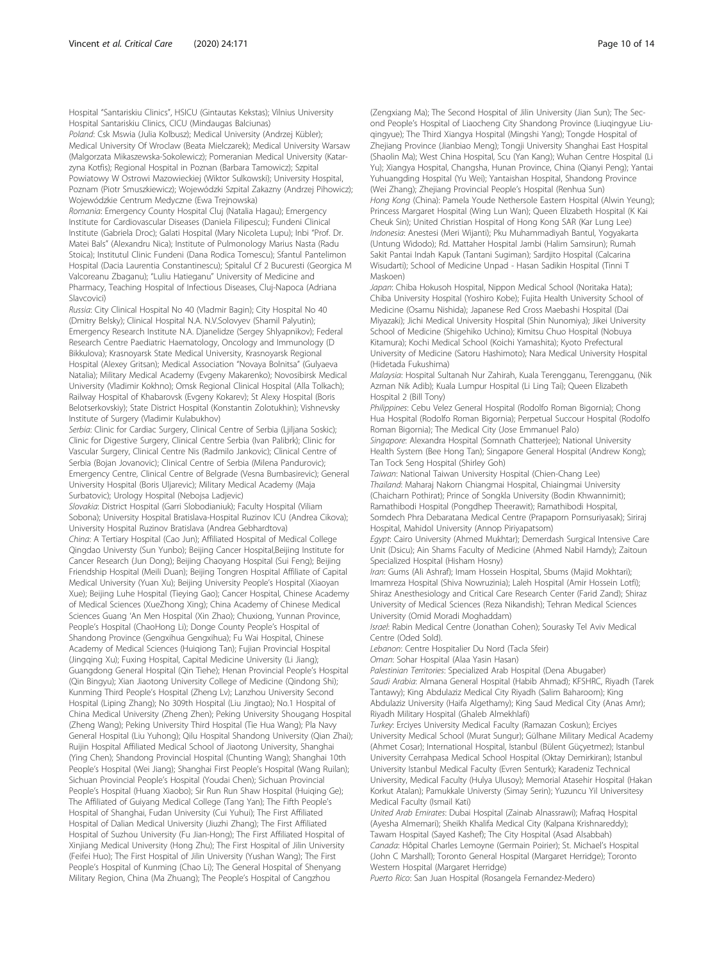Hospital "Santariskiu Clinics", HSICU (Gintautas Kekstas); Vilnius University Hospital Santariskiu Clinics, CICU (Mindaugas Balciunas)

Poland: Csk Mswia (Julia Kolbusz); Medical University (Andrzej Kübler); Medical University Of Wroclaw (Beata Mielczarek); Medical University Warsaw (Malgorzata Mikaszewska-Sokolewicz); Pomeranian Medical University (Katarzyna Kotfis); Regional Hospital in Poznan (Barbara Tamowicz); Szpital Powiatowy W Ostrowi Mazowieckiej (Wiktor Sulkowski); University Hospital, Poznam (Piotr Smuszkiewicz); Wojewódzki Szpital Zakazny (Andrzej Pihowicz); Wojewódzkie Centrum Medyczne (Ewa Trejnowska)

Romania: Emergency County Hospital Cluj (Natalia Hagau); Emergency Institute for Cardiovascular Diseases (Daniela Filipescu); Fundeni Clinical Institute (Gabriela Droc); Galati Hospital (Mary Nicoleta Lupu); Inbi "Prof. Dr. Matei Bals" (Alexandru Nica); Institute of Pulmonology Marius Nasta (Radu Stoica); Institutul Clinic Fundeni (Dana Rodica Tomescu); Sfantul Pantelimon Hospital (Dacia Laurentia Constantinescu); Spitalul Cf 2 Bucuresti (Georgica M Valcoreanu Zbaganu); "Luliu Hatieganu" University of Medicine and Pharmacy, Teaching Hospital of Infectious Diseases, Cluj-Napoca (Adriana Slavcovici)

Russia: City Clinical Hospital No 40 (Vladmir Bagin); City Hospital No 40 (Dmitry Belsky); Clinical Hospital N.A. N.V.Solovyev (Shamil Palyutin); Emergency Research Institute N.A. Djanelidze (Sergey Shlyapnikov); Federal Research Centre Paediatric Haematology, Oncology and Immunology (D Bikkulova); Krasnoyarsk State Medical University, Krasnoyarsk Regional Hospital (Alexey Gritsan); Medical Association "Novaya Bolnitsa" (Gulyaeva Natalia); Military Medical Academy (Evgeny Makarenko); Novosibirsk Medical University (Vladimir Kokhno); Omsk Regional Clinical Hospital (Alla Tolkach); Railway Hospital of Khabarovsk (Evgeny Kokarev); St Alexy Hospital (Boris Belotserkovskiy); State District Hospital (Konstantin Zolotukhin); Vishnevsky Institute of Surgery (Vladimir Kulabukhov)

Serbia: Clinic for Cardiac Surgery, Clinical Centre of Serbia (Ljiljana Soskic); Clinic for Digestive Surgery, Clinical Centre Serbia (Ivan Palibrk); Clinic for Vascular Surgery, Clinical Centre Nis (Radmilo Jankovic); Clinical Centre of Serbia (Bojan Jovanovic); Clinical Centre of Serbia (Milena Pandurovic); Emergency Centre, Clinical Centre of Belgrade (Vesna Bumbasirevic); General University Hospital (Boris Uljarevic); Military Medical Academy (Maja Surbatovic); Urology Hospital (Nebojsa Ladjevic)

Slovakia: District Hospital (Garri Slobodianiuk); Faculty Hospital (Viliam Sobona); University Hospital Bratislava-Hospital Ruzinov ICU (Andrea Cikova); University Hospital Ruzinov Bratislava (Andrea Gebhardtova) China: A Tertiary Hospital (Cao Jun); Affiliated Hospital of Medical College Qingdao Universty (Sun Yunbo); Beijing Cancer Hospital,Beijing Institute for Cancer Research (Jun Dong); Beijing Chaoyang Hospital (Sui Feng); Beijing Friendship Hospital (Meili Duan); Beijing Tongren Hospital Affiliate of Capital Medical University (Yuan Xu); Beijing University People's Hospital (Xiaoyan Xue); Beijing Luhe Hospital (Tieying Gao); Cancer Hospital, Chinese Academy of Medical Sciences (XueZhong Xing); China Academy of Chinese Medical Sciences Guang 'An Men Hospital (Xin Zhao); Chuxiong, Yunnan Province, People's Hospital (ChaoHong Li); Donge County People's Hospital of Shandong Province (Gengxihua Gengxihua); Fu Wai Hospital, Chinese Academy of Medical Sciences (Huiqiong Tan); Fujian Provincial Hospital (Jingqing Xu); Fuxing Hospital, Capital Medicine University (Li Jiang); Guangdong General Hospital (Qin Tiehe); Henan Provincial People's Hospital (Qin Bingyu); Xian Jiaotong University College of Medicine (Qindong Shi); Kunming Third People's Hospital (Zheng Lv); Lanzhou University Second Hospital (Liping Zhang); No 309th Hospital (Liu Jingtao); No.1 Hospital of China Medical University (Zheng Zhen); Peking University Shougang Hospital (Zheng Wang); Peking University Third Hospital (Tie Hua Wang); Pla Navy General Hospital (Liu Yuhong); Qilu Hospital Shandong University (Qian Zhai); Ruijin Hospital Affiliated Medical School of Jiaotong University, Shanghai (Ying Chen); Shandong Provincial Hospital (Chunting Wang); Shanghai 10th People's Hospital (Wei Jiang); Shanghai First People's Hospital (Wang Ruilan); Sichuan Provincial People's Hospital (Youdai Chen); Sichuan Provincial People's Hospital (Huang Xiaobo); Sir Run Run Shaw Hospital (Huiqing Ge); The Affiliated of Guiyang Medical College (Tang Yan); The Fifth People's Hospital of Shanghai, Fudan University (Cui Yuhui); The First Affiliated Hospital of Dalian Medical University (Jiuzhi Zhang); The First Affiliated Hospital of Suzhou University (Fu Jian-Hong); The First Affiliated Hospital of Xinjiang Medical University (Hong Zhu); The First Hospital of Jilin University (Feifei Huo); The First Hospital of Jilin University (Yushan Wang); The First People's Hospital of Kunming (Chao Li); The General Hospital of Shenyang Military Region, China (Ma Zhuang); The People's Hospital of Cangzhou

(Zengxiang Ma); The Second Hospital of Jilin University (Jian Sun); The Second People's Hospital of Liaocheng City Shandong Province (Liuqingyue Liuqingyue); The Third Xiangya Hospital (Mingshi Yang); Tongde Hospital of Zhejiang Province (Jianbiao Meng); Tongji University Shanghai East Hospital (Shaolin Ma); West China Hospital, Scu (Yan Kang); Wuhan Centre Hospital (Li Yu); Xiangya Hospital, Changsha, Hunan Province, China (Qianyi Peng); Yantai Yuhuangding Hospital (Yu Wei); Yantaishan Hospital, Shandong Province (Wei Zhang); Zhejiang Provincial People's Hospital (Renhua Sun) Hong Kong (China): Pamela Youde Nethersole Eastern Hospital (Alwin Yeung); Princess Margaret Hospital (Wing Lun Wan); Queen Elizabeth Hospital (K Kai Cheuk Sin); United Christian Hospital of Hong Kong SAR (Kar Lung Lee) Indonesia: Anestesi (Meri Wijanti); Pku Muhammadiyah Bantul, Yogyakarta (Untung Widodo); Rd. Mattaher Hospital Jambi (Halim Samsirun); Rumah Sakit Pantai Indah Kapuk (Tantani Sugiman); Sardjito Hospital (Calcarina Wisudarti); School of Medicine Unpad - Hasan Sadikin Hospital (Tinni T Maskoen)

Japan: Chiba Hokusoh Hospital, Nippon Medical School (Noritaka Hata); Chiba University Hospital (Yoshiro Kobe); Fujita Health University School of Medicine (Osamu Nishida); Japanese Red Cross Maebashi Hospital (Dai Miyazaki); Jichi Medical University Hospital (Shin Nunomiya); Jikei University School of Medicine (Shigehiko Uchino); Kimitsu Chuo Hospital (Nobuya Kitamura); Kochi Medical School (Koichi Yamashita); Kyoto Prefectural University of Medicine (Satoru Hashimoto); Nara Medical University Hospital (Hidetada Fukushima)

Malaysia: Hospital Sultanah Nur Zahirah, Kuala Terengganu, Terengganu, (Nik Azman Nik Adib); Kuala Lumpur Hospital (Li Ling Tai); Queen Elizabeth Hospital 2 (Bill Tony)

Philippines: Cebu Velez General Hospital (Rodolfo Roman Bigornia); Chong Hua Hospital (Rodolfo Roman Bigornia); Perpetual Succour Hospital (Rodolfo Roman Bigornia); The Medical City (Jose Emmanuel Palo)

Singapore: Alexandra Hospital (Somnath Chatterjee); National University Health System (Bee Hong Tan); Singapore General Hospital (Andrew Kong); Tan Tock Seng Hospital (Shirley Goh)

Taiwan: National Taiwan University Hospital (Chien-Chang Lee) Thailand: Maharaj Nakorn Chiangmai Hospital, Chiaingmai University (Chaicharn Pothirat); Prince of Songkla University (Bodin Khwannimit); Ramathibodi Hospital (Pongdhep Theerawit); Ramathibodi Hospital, Somdech Phra Debaratana Medical Centre (Prapaporn Pornsuriyasak); Siriraj Hospital, Mahidol University (Annop Piriyapatsom)

Egypt: Cairo University (Ahmed Mukhtar); Demerdash Surgical Intensive Care Unit (Dsicu); Ain Shams Faculty of Medicine (Ahmed Nabil Hamdy); Zaitoun Specialized Hospital (Hisham Hosny)

Iran: Gums (Ali Ashraf); Imam Hossein Hospital, Sbums (Majid Mokhtari); Imamreza Hospital (Shiva Nowruzinia); Laleh Hospital (Amir Hossein Lotfi); Shiraz Anesthesiology and Critical Care Research Center (Farid Zand); Shiraz University of Medical Sciences (Reza Nikandish); Tehran Medical Sciences University (Omid Moradi Moghaddam)

Israel: Rabin Medical Centre (Jonathan Cohen); Sourasky Tel Aviv Medical Centre (Oded Sold).

Lebanon: Centre Hospitalier Du Nord (Tacla Sfeir)

Oman: Sohar Hospital (Alaa Yasin Hasan)

Palestinian Territories: Specialized Arab Hospital (Dena Abugaber) Saudi Arabia: Almana General Hospital (Habib Ahmad); KFSHRC, Riyadh (Tarek Tantawy); King Abdulaziz Medical City Riyadh (Salim Baharoom); King Abdulaziz University (Haifa Algethamy); King Saud Medical City (Anas Amr); Riyadh Military Hospital (Ghaleb Almekhlafi)

Turkey: Erciyes University Medical Faculty (Ramazan Coskun); Erciyes University Medical School (Murat Sungur); Gülhane Military Medical Academy (Ahmet Cosar); International Hospital, Istanbul (Bülent Güçyetmez); Istanbul University Cerrahpasa Medical School Hospital (Oktay Demirkiran); Istanbul University Istanbul Medical Faculty (Evren Senturk); Karadeniz Technical University, Medical Faculty (Hulya Ulusoy); Memorial Atasehir Hospital (Hakan Korkut Atalan); Pamukkale Universty (Simay Serin); Yuzuncu Yil Universitesy Medical Faculty (Ismail Kati)

United Arab Emirates: Dubai Hospital (Zainab Alnassrawi); Mafraq Hospital (Ayesha Almemari); Sheikh Khalifa Medical City (Kalpana Krishnareddy); Tawam Hospital (Sayed Kashef); The City Hospital (Asad Alsabbah) Canada: Hôpital Charles Lemoyne (Germain Poirier); St. Michael's Hospital (John C Marshall); Toronto General Hospital (Margaret Herridge); Toronto Western Hospital (Margaret Herridge)

Puerto Rico: San Juan Hospital (Rosangela Fernandez-Medero)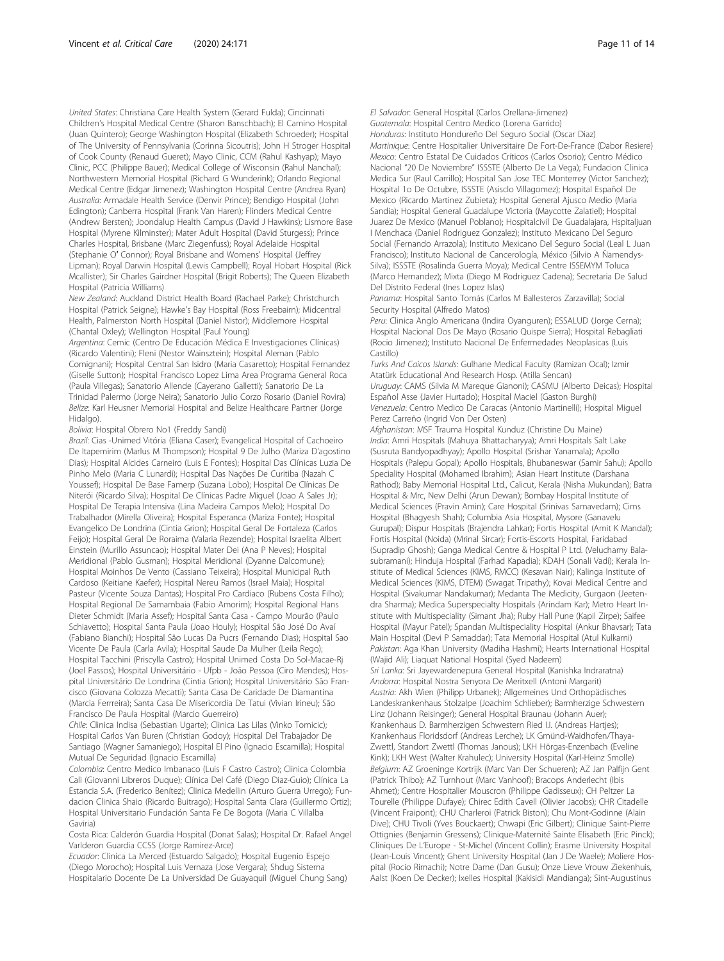United States: Christiana Care Health System (Gerard Fulda); Cincinnati Children's Hospital Medical Centre (Sharon Banschbach); El Camino Hospital (Juan Quintero); George Washington Hospital (Elizabeth Schroeder); Hospital of The University of Pennsylvania (Corinna Sicoutris); John H Stroger Hospital of Cook County (Renaud Gueret); Mayo Clinic, CCM (Rahul Kashyap); Mayo Clinic, PCC (Philippe Bauer); Medical College of Wisconsin (Rahul Nanchal); Northwestern Memorial Hospital (Richard G Wunderink); Orlando Regional Medical Centre (Edgar Jimenez); Washington Hospital Centre (Andrea Ryan) Australia: Armadale Health Service (Denvir Prince); Bendigo Hospital (John Edington); Canberra Hospital (Frank Van Haren); Flinders Medical Centre (Andrew Bersten); Joondalup Health Campus (David J Hawkins); Lismore Base Hospital (Myrene Kilminster); Mater Adult Hospital (David Sturgess); Prince Charles Hospital, Brisbane (Marc Ziegenfuss); Royal Adelaide Hospital (Stephanie O′ Connor); Royal Brisbane and Womens' Hospital (Jeffrey Lipman); Royal Darwin Hospital (Lewis Campbell); Royal Hobart Hospital (Rick Mcallister); Sir Charles Gairdner Hospital (Brigit Roberts); The Queen Elizabeth Hospital (Patricia Williams)

New Zealand: Auckland District Health Board (Rachael Parke); Christchurch Hospital (Patrick Seigne); Hawke's Bay Hospital (Ross Freebairn); Midcentral Health, Palmerston North Hospital (Daniel Nistor); Middlemore Hospital (Chantal Oxley); Wellington Hospital (Paul Young)

Argentina: Cemic (Centro De Educación Médica E Investigaciones Clínicas) (Ricardo Valentini); Fleni (Nestor Wainsztein); Hospital Aleman (Pablo Comignani); Hospital Central San Isidro (Maria Casaretto); Hospital Fernandez (Giselle Sutton); Hospital Francisco Lopez Lima Area Programa General Roca (Paula Villegas); Sanatorio Allende (Cayerano Galletti); Sanatorio De La Trinidad Palermo (Jorge Neira); Sanatorio Julio Corzo Rosario (Daniel Rovira) Belize: Karl Heusner Memorial Hospital and Belize Healthcare Partner (Jorge Hidalgo).

Bolivia: Hospital Obrero No1 (Freddy Sandi)

Brazil: Cias -Unimed Vitória (Eliana Caser); Evangelical Hospital of Cachoeiro De Itapemirim (Marlus M Thompson); Hospital 9 De Julho (Mariza D'agostino Dias); Hospital Alcides Carneiro (Luis E Fontes); Hospital Das Clínicas Luzia De Pinho Melo (Maria C Lunardi); Hospital Das Nações De Curitiba (Nazah C Youssef); Hospital De Base Famerp (Suzana Lobo); Hospital De Clínicas De Niterói (Ricardo Silva); Hospital De Clínicas Padre Miguel (Joao A Sales Jr); Hospital De Terapia Intensiva (Lina Madeira Campos Melo); Hospital Do Trabalhador (Mirella Oliveira); Hospital Esperanca (Mariza Fonte); Hospital Evangelico De Londrina (Cintia Grion); Hospital Geral De Fortaleza (Carlos Feijo); Hospital Geral De Roraima (Valaria Rezende); Hospital Israelita Albert Einstein (Murillo Assuncao); Hospital Mater Dei (Ana P Neves); Hospital Meridional (Pablo Gusman); Hospital Meridional (Dyanne Dalcomune); Hospital Moinhos De Vento (Cassiano Teixeira); Hospital Municipal Ruth Cardoso (Keitiane Kaefer); Hospital Nereu Ramos (Israel Maia); Hospital Pasteur (Vicente Souza Dantas); Hospital Pro Cardiaco (Rubens Costa Filho); Hospital Regional De Samambaia (Fabio Amorim); Hospital Regional Hans Dieter Schmidt (Maria Assef); Hospital Santa Casa - Campo Mourão (Paulo Schiavetto); Hospital Santa Paula (Joao Houly); Hospital São José Do Avaí (Fabiano Bianchi); Hospital São Lucas Da Pucrs (Fernando Dias); Hospital Sao Vicente De Paula (Carla Avila); Hospital Saude Da Mulher (Leila Rego); Hospital Tacchini (Priscylla Castro); Hospital Unimed Costa Do Sol-Macae-Rj (Joel Passos); Hospital Universitário - Ufpb - João Pessoa (Ciro Mendes); Hospital Universitário De Londrina (Cintia Grion); Hospital Universitário São Francisco (Giovana Colozza Mecatti); Santa Casa De Caridade De Diamantina (Marcia Ferrreira); Santa Casa De Misericordia De Tatui (Vivian Irineu); São Francisco De Paula Hospital (Marcio Guerreiro)

Chile: Clinica Indisa (Sebastian Ugarte); Clinica Las Lilas (Vinko Tomicic); Hospital Carlos Van Buren (Christian Godoy); Hospital Del Trabajador De Santiago (Wagner Samaniego); Hospital El Pino (Ignacio Escamilla); Hospital Mutual De Seguridad (Ignacio Escamilla)

Colombia: Centro Medico Imbanaco (Luis F Castro Castro); Clinica Colombia Cali (Giovanni Libreros Duque); Clínica Del Café (Diego Diaz-Guio); Clínica La Estancia S.A. (Frederico Benítez); Clinica Medellin (Arturo Guerra Urrego); Fundacion Clinica Shaio (Ricardo Buitrago); Hospital Santa Clara (Guillermo Ortiz); Hospital Universitario Fundación Santa Fe De Bogota (Maria C Villalba Gaviria)

Costa Rica: Calderón Guardia Hospital (Donat Salas); Hospital Dr. Rafael Angel Varlderon Guardia CCSS (Jorge Ramirez-Arce)

Ecuador: Clinica La Merced (Estuardo Salgado); Hospital Eugenio Espejo (Diego Morocho); Hospital Luis Vernaza (Jose Vergara); Shdug Sistema Hospitalario Docente De La Universidad De Guayaquil (Miguel Chung Sang) El Salvador: General Hospital (Carlos Orellana-Jimenez) Guatemala: Hospital Centro Medico (Lorena Garrido) Honduras: Instituto Hondureño Del Seguro Social (Oscar Diaz) Martinique: Centre Hospitalier Universitaire De Fort-De-France (Dabor Resiere) Mexico: Centro Estatal De Cuidados Críticos (Carlos Osorio); Centro Médico Nacional "20 De Noviembre" ISSSTE (Alberto De La Vega); Fundacion Clinica Medica Sur (Raul Carrillo); Hospital San Jose TEC Monterrey (Victor Sanchez); Hospital 1o De Octubre, ISSSTE (Asisclo Villagomez); Hospital Español De Mexico (Ricardo Martinez Zubieta); Hospital General Ajusco Medio (Maria Sandia); Hospital General Guadalupe Victoria (Maycotte Zalatiel); Hospital Juarez De Mexico (Manuel Poblano); Hospitalcivil De Guadalajara, Hspitaljuan I Menchaca (Daniel Rodriguez Gonzalez); Instituto Mexicano Del Seguro Social (Fernando Arrazola); Instituto Mexicano Del Seguro Social (Leal L Juan Francisco); Instituto Nacional de Cancerología, México (Silvio A Ñamendys-Silva); ISSSTE (Rosalinda Guerra Moya); Medical Centre ISSEMYM Toluca (Marco Hernandez); Mixta (Diego M Rodriguez Cadena); Secretaria De Salud Del Distrito Federal (Ines Lopez Islas)

Panama: Hospital Santo Tomás (Carlos M Ballesteros Zarzavilla); Social Security Hospital (Alfredo Matos)

Peru: Clinica Anglo Americana (Indira Oyanguren); ESSALUD (Jorge Cerna); Hospital Nacional Dos De Mayo (Rosario Quispe Sierra); Hospital Rebagliati (Rocio Jimenez); Instituto Nacional De Enfermedades Neoplasicas (Luis Castillo)

Turks And Caicos Islands: Gulhane Medical Faculty (Ramizan Ocal); Izmir Atatürk Educational And Research Hosp. (Atilla Sencan) Uruguay: CAMS (Silvia M Mareque Gianoni); CASMU (Alberto Deicas); Hospital Español Asse (Javier Hurtado); Hospital Maciel (Gaston Burghi) Venezuela: Centro Medico De Caracas (Antonio Martinelli); Hospital Miguel Perez Carreño (Ingrid Von Der Osten)

Afghanistan: MSF Trauma Hospital Kunduz (Christine Du Maine) India: Amri Hospitals (Mahuya Bhattacharyya); Amri Hospitals Salt Lake (Susruta Bandyopadhyay); Apollo Hospital (Srishar Yanamala); Apollo Hospitals (Palepu Gopal); Apollo Hospitals, Bhubaneswar (Samir Sahu); Apollo Speciality Hospital (Mohamed Ibrahim); Asian Heart Institute (Darshana Rathod); Baby Memorial Hospital Ltd., Calicut, Kerala (Nisha Mukundan); Batra Hospital & Mrc, New Delhi (Arun Dewan); Bombay Hospital Institute of Medical Sciences (Pravin Amin); Care Hospital (Srinivas Samavedam); Cims Hospital (Bhagyesh Shah); Columbia Asia Hospital, Mysore (Ganavelu Gurupal); Dispur Hospitals (Brajendra Lahkar); Fortis Hospital (Amit K Mandal); Fortis Hospital (Noida) (Mrinal Sircar); Fortis-Escorts Hospital, Faridabad (Supradip Ghosh); Ganga Medical Centre & Hospital P Ltd. (Veluchamy Balasubramani); Hinduja Hospital (Farhad Kapadia); KDAH (Sonali Vadi); Kerala Institute of Medical Sciences (KIMS, RMCC) (Kesavan Nair); Kalinga Institute of Medical Sciences (KIMS, DTEM) (Swagat Tripathy); Kovai Medical Centre and Hospital (Sivakumar Nandakumar); Medanta The Medicity, Gurgaon (Jeetendra Sharma); Medica Superspecialty Hospitals (Arindam Kar); Metro Heart Institute with Multispeciality (Simant Jha); Ruby Hall Pune (Kapil Zirpe); Saifee Hospital (Mayur Patel); Spandan Multispeciality Hospital (Ankur Bhavsar); Tata Main Hospital (Devi P Samaddar); Tata Memorial Hospital (Atul Kulkarni) Pakistan: Aga Khan University (Madiha Hashmi); Hearts International Hospital (Wajid Ali); Liaquat National Hospital (Syed Nadeem)

Sri Lanka: Sri Jayewardenepura General Hospital (Kanishka Indraratna) Andorra: Hospital Nostra Senyora De Meritxell (Antoni Margarit) Austria: Akh Wien (Philipp Urbanek); Allgemeines Und Orthopädisches Landeskrankenhaus Stolzalpe (Joachim Schlieber); Barmherzige Schwestern Linz (Johann Reisinger); General Hospital Braunau (Johann Auer); Krankenhaus D. Barmherzigen Schwestern Ried I.I. (Andreas Hartjes); Krankenhaus Floridsdorf (Andreas Lerche); LK Gmünd-Waidhofen/Thaya-Zwettl, Standort Zwettl (Thomas Janous); LKH Hörgas-Enzenbach (Eveline Kink); LKH West (Walter Krahulec); University Hospital (Karl-Heinz Smolle) Belgium: AZ Groeninge Kortrijk (Marc Van Der Schueren); AZ Jan Palfijn Gent (Patrick Thibo); AZ Turnhout (Marc Vanhoof); Bracops Anderlecht (Ibis Ahmet); Centre Hospitalier Mouscron (Philippe Gadisseux); CH Peltzer La Tourelle (Philippe Dufaye); Chirec Edith Cavell (Olivier Jacobs); CHR Citadelle (Vincent Fraipont); CHU Charleroi (Patrick Biston); Chu Mont-Godinne (Alain Dive); CHU Tivoli (Yves Bouckaert); Chwapi (Eric Gilbert); Clinique Saint-Pierre Ottignies (Benjamin Gressens); Clinique-Maternité Sainte Elisabeth (Eric Pinck); Cliniques De L'Europe - St-Michel (Vincent Collin); Erasme University Hospital (Jean-Louis Vincent); Ghent University Hospital (Jan J De Waele); Moliere Hospital (Rocio Rimachi); Notre Dame (Dan Gusu); Onze Lieve Vrouw Ziekenhuis, Aalst (Koen De Decker); Ixelles Hospital (Kakisidi Mandianga); Sint-Augustinus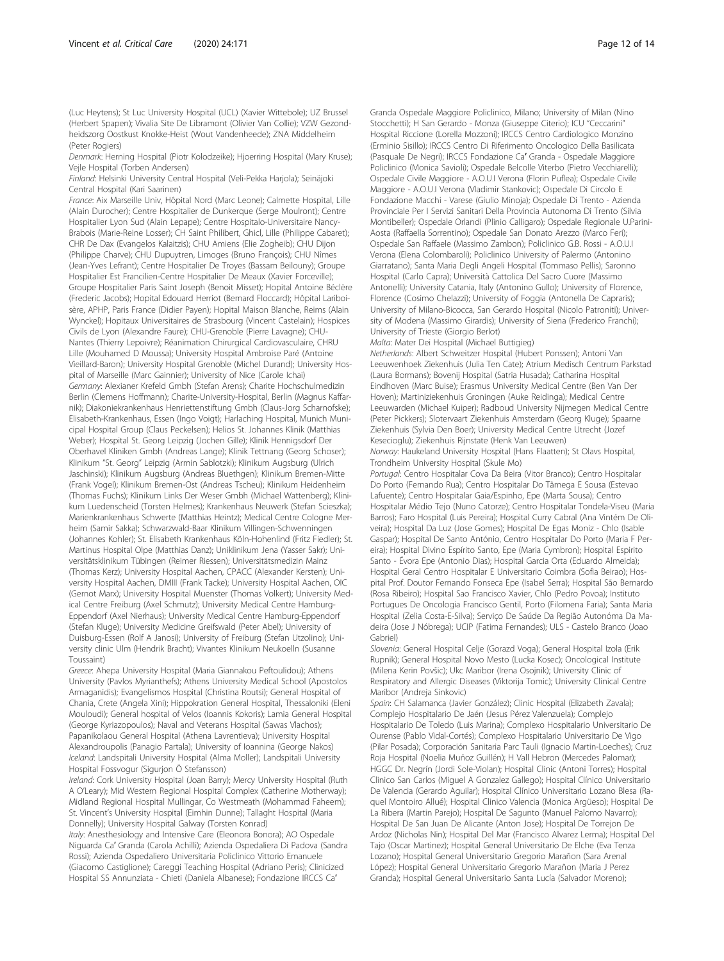(Luc Heytens); St Luc University Hospital (UCL) (Xavier Wittebole); UZ Brussel (Herbert Spapen); Vivalia Site De Libramont (Olivier Van Collie); VZW Gezondheidszorg Oostkust Knokke-Heist (Wout Vandenheede); ZNA Middelheim (Peter Rogiers)

Denmark: Herning Hospital (Piotr Kolodzeike); Hjoerring Hospital (Mary Kruse); Vejle Hospital (Torben Andersen)

Finland: Helsinki University Central Hospital (Veli-Pekka Harjola); Seinäjoki Central Hospital (Kari Saarinen)

France: Aix Marseille Univ, Hôpital Nord (Marc Leone); Calmette Hospital, Lille (Alain Durocher); Centre Hospitalier de Dunkerque (Serge Moulront); Centre Hospitalier Lyon Sud (Alain Lepape); Centre Hospitalo-Universitaire Nancy-Brabois (Marie-Reine Losser); CH Saint Philibert, Ghicl, Lille (Philippe Cabaret); CHR De Dax (Evangelos Kalaitzis); CHU Amiens (Elie Zogheib); CHU Dijon (Philippe Charve); CHU Dupuytren, Limoges (Bruno François); CHU Nîmes (Jean-Yves Lefrant); Centre Hospitalier De Troyes (Bassam Beilouny); Groupe Hospitalier Est Francilien-Centre Hospitalier De Meaux (Xavier Forceville); Groupe Hospitalier Paris Saint Joseph (Benoit Misset); Hopital Antoine Béclère (Frederic Jacobs); Hopital Edouard Herriot (Bernard Floccard); Hôpital Lariboisère, APHP, Paris France (Didier Payen); Hopital Maison Blanche, Reims (Alain Wynckel); Hopitaux Universitaires de Strasbourg (Vincent Castelain); Hospices Civils de Lyon (Alexandre Faure); CHU-Grenoble (Pierre Lavagne); CHU-Nantes (Thierry Lepoivre); Réanimation Chirurgical Cardiovasculaire, CHRU Lille (Mouhamed D Moussa); University Hospital Ambroise Paré (Antoine Vieillard-Baron); University Hospital Grenoble (Michel Durand); University Hospital of Marseille (Marc Gainnier); University of Nice (Carole Ichai) Germany: Alexianer Krefeld Gmbh (Stefan Arens); Charite Hochschulmedizin Berlin (Clemens Hoffmann); Charite-University-Hospital, Berlin (Magnus Kaffarnik); Diakoniekrankenhaus Henriettenstiftung Gmbh (Claus-Jorg Scharnofske); Elisabeth-Krankenhaus, Essen (Ingo Voigt); Harlaching Hospital, Munich Municipal Hospital Group (Claus Peckelsen); Helios St. Johannes Klinik (Matthias Weber); Hospital St. Georg Leipzig (Jochen Gille); Klinik Hennigsdorf Der Oberhavel Kliniken Gmbh (Andreas Lange); Klinik Tettnang (Georg Schoser); Klinikum "St. Georg" Leipzig (Armin Sablotzki); Klinikum Augsburg (Ulrich Jaschinski); Klinikum Augsburg (Andreas Bluethgen); Klinikum Bremen-Mitte (Frank Vogel); Klinikum Bremen-Ost (Andreas Tscheu); Klinikum Heidenheim (Thomas Fuchs); Klinikum Links Der Weser Gmbh (Michael Wattenberg); Klinikum Luedenscheid (Torsten Helmes); Krankenhaus Neuwerk (Stefan Scieszka); Marienkrankenhaus Schwerte (Matthias Heintz); Medical Centre Cologne Merheim (Samir Sakka); Schwarzwald-Baar Klinikum Villingen-Schwenningen (Johannes Kohler); St. Elisabeth Krankenhaus Köln-Hohenlind (Fritz Fiedler); St. Martinus Hospital Olpe (Matthias Danz); Uniklinikum Jena (Yasser Sakr); Universitätsklinikum Tübingen (Reimer Riessen); Universitätsmedizin Mainz (Thomas Kerz); University Hospital Aachen, CPACC (Alexander Kersten); University Hospital Aachen, DMIII (Frank Tacke); University Hospital Aachen, OIC (Gernot Marx); University Hospital Muenster (Thomas Volkert); University Medical Centre Freiburg (Axel Schmutz); University Medical Centre Hamburg-Eppendorf (Axel Nierhaus); University Medical Centre Hamburg-Eppendorf (Stefan Kluge); University Medicine Greifswald (Peter Abel); University of Duisburg-Essen (Rolf A Janosi); University of Freiburg (Stefan Utzolino); University clinic Ulm (Hendrik Bracht); Vivantes Klinikum Neukoelln (Susanne Toussaint)

Greece: Ahepa University Hospital (Maria Giannakou Peftoulidou); Athens University (Pavlos Myrianthefs); Athens University Medical School (Apostolos Armaganidis); Evangelismos Hospital (Christina Routsi); General Hospital of Chania, Crete (Angela Xini); Hippokration General Hospital, Thessaloniki (Eleni Mouloudi); General hospital of Velos (Ioannis Kokoris); Lamia General Hospital (George Kyriazopoulos); Naval and Veterans Hospital (Sawas Vlachos); Papanikolaou General Hospital (Athena Lavrentieva); University Hospital Alexandroupolis (Panagio Partala); University of Ioannina (George Nakos) Iceland: Landspitali University Hospital (Alma Moller); Landspitali University Hospital Fossvogur (Sigurjon Ö Stefansson)

Ireland: Cork University Hospital (Joan Barry); Mercy University Hospital (Ruth A O'Leary); Mid Western Regional Hospital Complex (Catherine Motherway); Midland Regional Hospital Mullingar, Co Westmeath (Mohammad Faheem); St. Vincent's University Hospital (Eimhin Dunne); Tallaght Hospital (Maria Donnelly); University Hospital Galway (Torsten Konrad)

Italy: Anesthesiology and Intensive Care (Eleonora Bonora); AO Ospedale Niguarda Ca′ Granda (Carola Achilli); Azienda Ospedaliera Di Padova (Sandra Rossi); Azienda Ospedaliero Universitaria Policlinico Vittorio Emanuele (Giacomo Castiglione); Careggi Teaching Hospital (Adriano Peris); Clinicized Hospital SS Annunziata - Chieti (Daniela Albanese); Fondazione IRCCS Ca′

Granda Ospedale Maggiore Policlinico, Milano; University of Milan (Nino Stocchetti); H San Gerardo - Monza (Giuseppe Citerio); ICU "Ceccarini" Hospital Riccione (Lorella Mozzoni); IRCCS Centro Cardiologico Monzino (Erminio Sisillo); IRCCS Centro Di Riferimento Oncologico Della Basilicata (Pasquale De Negri); IRCCS Fondazione Ca′ Granda - Ospedale Maggiore Policlinico (Monica Savioli); Ospedale Belcolle Viterbo (Pietro Vecchiarelli); Ospedale Civile Maggiore - A.O.U.I Verona (Florin Puflea); Ospedale Civile Maggiore - A.O.U.I Verona (Vladimir Stankovic); Ospedale Di Circolo E Fondazione Macchi - Varese (Giulio Minoja); Ospedale Di Trento - Azienda Provinciale Per I Servizi Sanitari Della Provincia Autonoma Di Trento (Silvia Montibeller); Ospedale Orlandi (Plinio Calligaro); Ospedale Regionale U.Parini-Aosta (Raffaella Sorrentino); Ospedale San Donato Arezzo (Marco Feri); Ospedale San Raffaele (Massimo Zambon); Policlinico G.B. Rossi - A.O.U.I Verona (Elena Colombaroli); Policlinico University of Palermo (Antonino Giarratano); Santa Maria Degli Angeli Hospital (Tommaso Pellis); Saronno Hospital (Carlo Capra); Università Cattolica Del Sacro Cuore (Massimo Antonelli); University Catania, Italy (Antonino Gullo); University of Florence, Florence (Cosimo Chelazzi); University of Foggia (Antonella De Capraris); University of Milano-Bicocca, San Gerardo Hospital (Nicolo Patroniti); University of Modena (Massimo Girardis); University of Siena (Frederico Franchi); University of Trieste (Giorgio Berlot)

#### Malta: Mater Dei Hospital (Michael Buttigieg)

Netherlands: Albert Schweitzer Hospital (Hubert Ponssen); Antoni Van Leeuwenhoek Ziekenhuis (Julia Ten Cate); Atrium Medisch Centrum Parkstad (Laura Bormans); Bovenij Hospital (Satria Husada); Catharina Hospital Eindhoven (Marc Buise); Erasmus University Medical Centre (Ben Van Der Hoven); Martiniziekenhuis Groningen (Auke Reidinga); Medical Centre Leeuwarden (Michael Kuiper); Radboud University Nijmegen Medical Centre (Peter Pickkers); Slotervaart Ziekenhuis Amsterdam (Georg Kluge); Spaarne Ziekenhuis (Sylvia Den Boer); University Medical Centre Utrecht (Jozef Kesecioglu); Ziekenhuis Rijnstate (Henk Van Leeuwen) Norway: Haukeland University Hospital (Hans Flaatten); St Olavs Hospital,

Trondheim University Hospital (Skule Mo)

Portugal: Centro Hospitalar Cova Da Beira (Vitor Branco); Centro Hospitalar Do Porto (Fernando Rua); Centro Hospitalar Do Tâmega E Sousa (Estevao Lafuente); Centro Hospitalar Gaia/Espinho, Epe (Marta Sousa); Centro Hospitalar Médio Tejo (Nuno Catorze); Centro Hospitalar Tondela-Viseu (Maria Barros); Faro Hospital (Luis Pereira); Hospital Curry Cabral (Ana Vintém De Oliveira); Hospital Da Luz (Jose Gomes); Hospital De Egas Moniz - Chlo (Isable Gaspar); Hospital De Santo António, Centro Hospitalar Do Porto (Maria F Pereira); Hospital Divino Espírito Santo, Epe (Maria Cymbron); Hospital Espirito Santo - Évora Epe (Antonio Dias); Hospital Garcia Orta (Eduardo Almeida); Hospital Geral Centro Hospitalar E Universitario Coimbra (Sofia Beirao); Hospital Prof. Doutor Fernando Fonseca Epe (Isabel Serra); Hospital São Bernardo (Rosa Ribeiro); Hospital Sao Francisco Xavier, Chlo (Pedro Povoa); Instituto Portugues De Oncologia Francisco Gentil, Porto (Filomena Faria); Santa Maria Hospital (Zelia Costa-E-Silva); Serviço De Saúde Da Região Autonóma Da Madeira (Jose J Nóbrega); UCIP (Fatima Fernandes); ULS - Castelo Branco (Joao Gabriel)

Slovenia: General Hospital Celje (Gorazd Voga); General Hospital Izola (Erik Rupnik); General Hospital Novo Mesto (Lucka Kosec); Oncological Institute (Milena Kerin Povšic); Ukc Maribor (Irena Osojnik); University Clinic of Respiratory and Allergic Diseases (Viktorija Tomic); University Clinical Centre Maribor (Andreja Sinkovic)

Spain: CH Salamanca (Javier González); Clinic Hospital (Elizabeth Zavala); Complejo Hospitalario De Jaén (Jesus Pérez Valenzuela); Complejo Hospitalario De Toledo (Luis Marina); Complexo Hospitalario Universitario De Ourense (Pablo Vidal-Cortés); Complexo Hospitalario Universitario De Vigo (Pilar Posada); Corporación Sanitaria Parc Tauli (Ignacio Martin-Loeches); Cruz Roja Hospital (Noelia Muñoz Guillén); H Vall Hebron (Mercedes Palomar); HGGC Dr. Negrín (Jordi Sole-Violan); Hospital Clinic (Antoni Torres); Hospital Clinico San Carlos (Miguel A Gonzalez Gallego); Hospital Clínico Universitario De Valencia (Gerardo Aguilar); Hospital Clínico Universitario Lozano Blesa (Raquel Montoiro Allué); Hospital Clinico Valencia (Monica Argüeso); Hospital De La Ribera (Martin Parejo); Hospital De Sagunto (Manuel Palomo Navarro); Hospital De San Juan De Alicante (Anton Jose); Hospital De Torrejon De Ardoz (Nicholas Nin); Hospital Del Mar (Francisco Alvarez Lerma); Hospital Del Tajo (Oscar Martinez); Hospital General Universitario De Elche (Eva Tenza Lozano); Hospital General Universitario Gregorio Marañon (Sara Arenal López); Hospital General Universitario Gregorio Marañon (Maria J Perez Granda); Hospital General Universitario Santa Lucía (Salvador Moreno);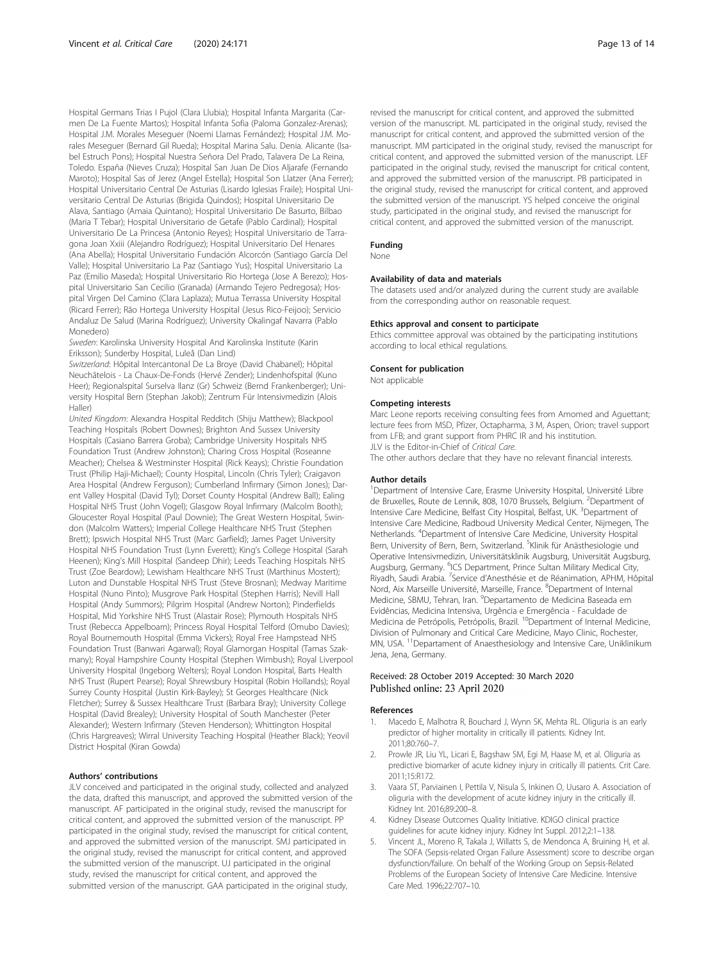<span id="page-12-0"></span>Hospital Germans Trias I Pujol (Clara Llubia); Hospital Infanta Margarita (Carmen De La Fuente Martos); Hospital Infanta Sofia (Paloma Gonzalez-Arenas); Hospital J.M. Morales Meseguer (Noemi Llamas Fernández); Hospital J.M. Morales Meseguer (Bernard Gil Rueda); Hospital Marina Salu. Denia. Alicante (Isabel Estruch Pons); Hospital Nuestra Señora Del Prado, Talavera De La Reina, Toledo. España (Nieves Cruza); Hospital San Juan De Dios Aljarafe (Fernando Maroto); Hospital Sas of Jerez (Angel Estella); Hospital Son Llatzer (Ana Ferrer); Hospital Universitario Central De Asturias (Lisardo Iglesias Fraile); Hospital Universitario Central De Asturias (Brigida Quindos); Hospital Universitario De Alava, Santiago (Amaia Quintano); Hospital Universitario De Basurto, Bilbao (Maria T Tebar); Hospital Universitario de Getafe (Pablo Cardinal); Hospital Universitario De La Princesa (Antonio Reyes); Hospital Universitario de Tarragona Joan Xxiii (Alejandro Rodríguez); Hospital Universitario Del Henares (Ana Abella); Hospital Universitario Fundación Alcorcón (Santiago García Del Valle); Hospital Universitario La Paz (Santiago Yus); Hospital Universitario La Paz (Emilio Maseda); Hospital Universitario Rio Hortega (Jose A Berezo); Hospital Universitario San Cecilio (Granada) (Armando Tejero Pedregosa); Hospital Virgen Del Camino (Clara Laplaza); Mutua Terrassa University Hospital (Ricard Ferrer); Rão Hortega University Hospital (Jesus Rico-Feijoo); Servicio Andaluz De Salud (Marina Rodríguez); University Okalingaf Navarra (Pablo Monedero)

Sweden: Karolinska University Hospital And Karolinska Institute (Karin Eriksson); Sunderby Hospital, Luleå (Dan Lind)

Switzerland: Hôpital Intercantonal De La Broye (David Chabanel); Hôpital Neuchâtelois - La Chaux-De-Fonds (Hervé Zender); Lindenhofspital (Kuno Heer); Regionalspital Surselva Ilanz (Gr) Schweiz (Bernd Frankenberger); University Hospital Bern (Stephan Jakob); Zentrum Für Intensivmedizin (Alois Haller)

United Kingdom: Alexandra Hospital Redditch (Shiju Matthew); Blackpool Teaching Hospitals (Robert Downes); Brighton And Sussex University Hospitals (Casiano Barrera Groba); Cambridge University Hospitals NHS Foundation Trust (Andrew Johnston); Charing Cross Hospital (Roseanne Meacher); Chelsea & Westminster Hospital (Rick Keays); Christie Foundation Trust (Philip Haji-Michael); County Hospital, Lincoln (Chris Tyler); Craigavon Area Hospital (Andrew Ferguson); Cumberland Infirmary (Simon Jones); Darent Valley Hospital (David Tyl); Dorset County Hospital (Andrew Ball); Ealing Hospital NHS Trust (John Vogel); Glasgow Royal Infirmary (Malcolm Booth); Gloucester Royal Hospital (Paul Downie); The Great Western Hospital, Swindon (Malcolm Watters); Imperial College Healthcare NHS Trust (Stephen Brett); Ipswich Hospital NHS Trust (Marc Garfield); James Paget University Hospital NHS Foundation Trust (Lynn Everett); King's College Hospital (Sarah Heenen); King's Mill Hospital (Sandeep Dhir); Leeds Teaching Hospitals NHS Trust (Zoe Beardow); Lewisham Healthcare NHS Trust (Marthinus Mostert); Luton and Dunstable Hospital NHS Trust (Steve Brosnan); Medway Maritime Hospital (Nuno Pinto); Musgrove Park Hospital (Stephen Harris); Nevill Hall Hospital (Andy Summors); Pilgrim Hospital (Andrew Norton); Pinderfields Hospital, Mid Yorkshire NHS Trust (Alastair Rose); Plymouth Hospitals NHS Trust (Rebecca Appelboam); Princess Royal Hospital Telford (Omubo Davies); Royal Bournemouth Hospital (Emma Vickers); Royal Free Hampstead NHS Foundation Trust (Banwari Agarwal); Royal Glamorgan Hospital (Tamas Szakmany); Royal Hampshire County Hospital (Stephen Wimbush); Royal Liverpool University Hospital (Ingeborg Welters); Royal London Hospital, Barts Health NHS Trust (Rupert Pearse); Royal Shrewsbury Hospital (Robin Hollands); Royal Surrey County Hospital (Justin Kirk-Bayley); St Georges Healthcare (Nick Fletcher); Surrey & Sussex Healthcare Trust (Barbara Bray); University College Hospital (David Brealey); University Hospital of South Manchester (Peter Alexander); Western Infirmary (Steven Henderson); Whittington Hospital (Chris Hargreaves); Wirral University Teaching Hospital (Heather Black); Yeovil District Hospital (Kiran Gowda)

#### Authors' contributions

JLV conceived and participated in the original study, collected and analyzed the data, drafted this manuscript, and approved the submitted version of the manuscript. AF participated in the original study, revised the manuscript for critical content, and approved the submitted version of the manuscript. PP participated in the original study, revised the manuscript for critical content, and approved the submitted version of the manuscript. SMJ participated in the original study, revised the manuscript for critical content, and approved the submitted version of the manuscript. UJ participated in the original study, revised the manuscript for critical content, and approved the submitted version of the manuscript. GAA participated in the original study,

revised the manuscript for critical content, and approved the submitted version of the manuscript. ML participated in the original study, revised the manuscript for critical content, and approved the submitted version of the manuscript. MM participated in the original study, revised the manuscript for critical content, and approved the submitted version of the manuscript. LEF participated in the original study, revised the manuscript for critical content, and approved the submitted version of the manuscript. PB participated in the original study, revised the manuscript for critical content, and approved the submitted version of the manuscript. YS helped conceive the original study, participated in the original study, and revised the manuscript for critical content, and approved the submitted version of the manuscript.

# Funding

None

#### Availability of data and materials

The datasets used and/or analyzed during the current study are available from the corresponding author on reasonable request.

#### Ethics approval and consent to participate

Ethics committee approval was obtained by the participating institutions according to local ethical regulations.

#### Consent for publication

Not applicable

#### Competing interests

Marc Leone reports receiving consulting fees from Amomed and Aguettant; lecture fees from MSD, Pfizer, Octapharma, 3 M, Aspen, Orion; travel support from LFB; and grant support from PHRC IR and his institution. JLV is the Editor-in-Chief of Critical Care.

The other authors declare that they have no relevant financial interests.

#### Author details

<sup>1</sup>Department of Intensive Care, Erasme University Hospital, Université Libre de Bruxelles, Route de Lennik, 808, 1070 Brussels, Belgium. <sup>2</sup>Department of Intensive Care Medicine, Belfast City Hospital, Belfast, UK. <sup>3</sup>Department of Intensive Care Medicine, Radboud University Medical Center, Nijmegen, The Netherlands. <sup>4</sup>Department of Intensive Care Medicine, University Hospital Bern, University of Bern, Bern, Switzerland. <sup>5</sup>Klinik für Anästhesiologie und Operative Intensivmedizin, Universitätsklinik Augsburg, Universität Augsburg, Augsburg, Germany. <sup>6</sup>ICS Department, Prince Sultan Military Medical City Riyadh, Saudi Arabia. <sup>7</sup>Service d'Anesthésie et de Réanimation, APHM, Hôpital Nord, Aix Marseille Université, Marseille, France. <sup>8</sup>Department of Internal Medicine, SBMU, Tehran, Iran. <sup>9</sup> Departamento de Medicina Baseada em Evidências, Medicina Intensiva, Urgência e Emergência - Faculdade de Medicina de Petrópolis, Petrópolis, Brazil. <sup>10</sup>Department of Internal Medicine, Division of Pulmonary and Critical Care Medicine, Mayo Clinic, Rochester, MN, USA. 11Departament of Anaesthesiology and Intensive Care, Uniklinikum Jena, Jena, Germany.

#### Received: 28 October 2019 Accepted: 30 March 2020 Published online: 23 April 2020

#### References

- 1. Macedo E, Malhotra R, Bouchard J, Wynn SK, Mehta RL. Oliguria is an early predictor of higher mortality in critically ill patients. Kidney Int. 2011;80:760–7.
- 2. Prowle JR, Liu YL, Licari E, Bagshaw SM, Egi M, Haase M, et al. Oliguria as predictive biomarker of acute kidney injury in critically ill patients. Crit Care. 2011;15:R172.
- 3. Vaara ST, Parviainen I, Pettila V, Nisula S, Inkinen O, Uusaro A. Association of oliguria with the development of acute kidney injury in the critically ill. Kidney Int. 2016;89:200–8.
- 4. Kidney Disease Outcomes Quality Initiative. KDIGO clinical practice guidelines for acute kidney injury. Kidney Int Suppl. 2012;2:1–138.
- Vincent JL, Moreno R, Takala J, Willatts S, de Mendonca A, Bruining H, et al. The SOFA (Sepsis-related Organ Failure Assessment) score to describe organ dysfunction/failure. On behalf of the Working Group on Sepsis-Related Problems of the European Society of Intensive Care Medicine. Intensive Care Med. 1996;22:707–10.